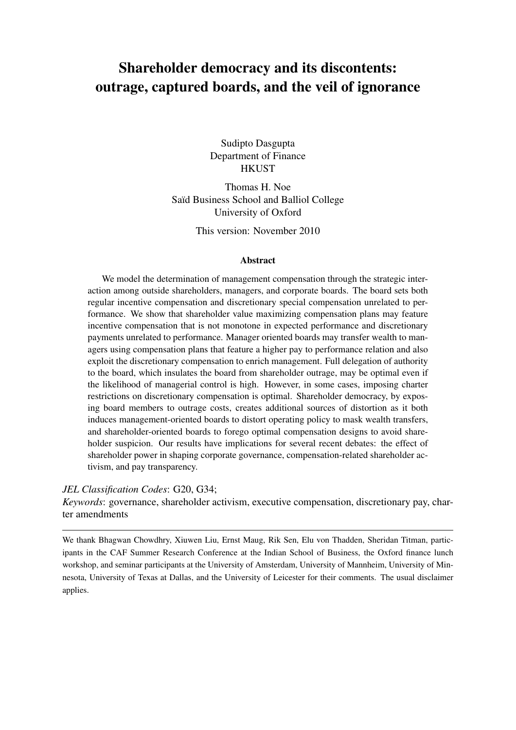# <span id="page-0-0"></span>Shareholder democracy and its discontents: outrage, captured boards, and the veil of ignorance

Sudipto Dasgupta Department of Finance **HKUST** 

Thomas H. Noe Saïd Business School and Balliol College University of Oxford

This version: November 2010

#### Abstract

We model the determination of management compensation through the strategic interaction among outside shareholders, managers, and corporate boards. The board sets both regular incentive compensation and discretionary special compensation unrelated to performance. We show that shareholder value maximizing compensation plans may feature incentive compensation that is not monotone in expected performance and discretionary payments unrelated to performance. Manager oriented boards may transfer wealth to managers using compensation plans that feature a higher pay to performance relation and also exploit the discretionary compensation to enrich management. Full delegation of authority to the board, which insulates the board from shareholder outrage, may be optimal even if the likelihood of managerial control is high. However, in some cases, imposing charter restrictions on discretionary compensation is optimal. Shareholder democracy, by exposing board members to outrage costs, creates additional sources of distortion as it both induces management-oriented boards to distort operating policy to mask wealth transfers, and shareholder-oriented boards to forego optimal compensation designs to avoid shareholder suspicion. Our results have implications for several recent debates: the effect of shareholder power in shaping corporate governance, compensation-related shareholder activism, and pay transparency.

#### *JEL Classification Codes*: G20, G34;

*Keywords*: governance, shareholder activism, executive compensation, discretionary pay, charter amendments

We thank Bhagwan Chowdhry, Xiuwen Liu, Ernst Maug, Rik Sen, Elu von Thadden, Sheridan Titman, participants in the CAF Summer Research Conference at the Indian School of Business, the Oxford finance lunch workshop, and seminar participants at the University of Amsterdam, University of Mannheim, University of Minnesota, University of Texas at Dallas, and the University of Leicester for their comments. The usual disclaimer applies.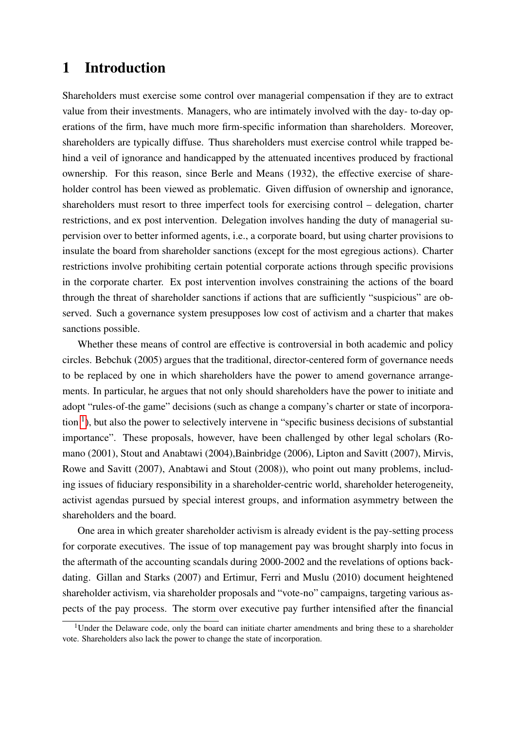## 1 Introduction

Shareholders must exercise some control over managerial compensation if they are to extract value from their investments. Managers, who are intimately involved with the day- to-day operations of the firm, have much more firm-specific information than shareholders. Moreover, shareholders are typically diffuse. Thus shareholders must exercise control while trapped behind a veil of ignorance and handicapped by the attenuated incentives produced by fractional ownership. For this reason, since Berle and Means (1932), the effective exercise of shareholder control has been viewed as problematic. Given diffusion of ownership and ignorance, shareholders must resort to three imperfect tools for exercising control – delegation, charter restrictions, and ex post intervention. Delegation involves handing the duty of managerial supervision over to better informed agents, i.e., a corporate board, but using charter provisions to insulate the board from shareholder sanctions (except for the most egregious actions). Charter restrictions involve prohibiting certain potential corporate actions through specific provisions in the corporate charter. Ex post intervention involves constraining the actions of the board through the threat of shareholder sanctions if actions that are sufficiently "suspicious" are observed. Such a governance system presupposes low cost of activism and a charter that makes sanctions possible.

Whether these means of control are effective is controversial in both academic and policy circles. Bebchuk (2005) argues that the traditional, director-centered form of governance needs to be replaced by one in which shareholders have the power to amend governance arrangements. In particular, he argues that not only should shareholders have the power to initiate and adopt "rules-of-the game" decisions (such as change a company's charter or state of incorporation  $<sup>1</sup>$  $<sup>1</sup>$  $<sup>1</sup>$ ), but also the power to selectively intervene in "specific business decisions of substantial</sup> importance". These proposals, however, have been challenged by other legal scholars (Romano (2001), Stout and Anabtawi (2004),Bainbridge (2006), Lipton and Savitt (2007), Mirvis, Rowe and Savitt (2007), Anabtawi and Stout (2008)), who point out many problems, including issues of fiduciary responsibility in a shareholder-centric world, shareholder heterogeneity, activist agendas pursued by special interest groups, and information asymmetry between the shareholders and the board.

One area in which greater shareholder activism is already evident is the pay-setting process for corporate executives. The issue of top management pay was brought sharply into focus in the aftermath of the accounting scandals during 2000-2002 and the revelations of options backdating. Gillan and Starks (2007) and Ertimur, Ferri and Muslu (2010) document heightened shareholder activism, via shareholder proposals and "vote-no" campaigns, targeting various aspects of the pay process. The storm over executive pay further intensified after the financial

<sup>&</sup>lt;sup>1</sup>Under the Delaware code, only the board can initiate charter amendments and bring these to a shareholder vote. Shareholders also lack the power to change the state of incorporation.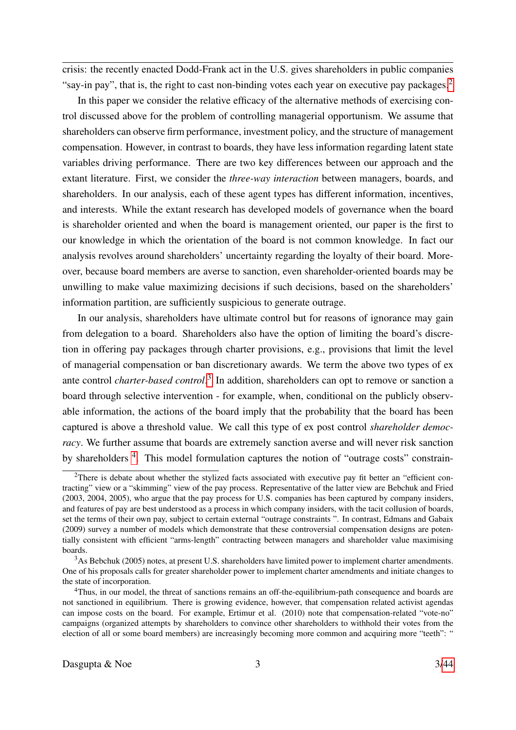crisis: the recently enacted Dodd-Frank act in the U.S. gives shareholders in public companies "say-in pay", that is, the right to cast non-binding votes each year on executive pay packages. $2$ 

In this paper we consider the relative efficacy of the alternative methods of exercising control discussed above for the problem of controlling managerial opportunism. We assume that shareholders can observe firm performance, investment policy, and the structure of management compensation. However, in contrast to boards, they have less information regarding latent state variables driving performance. There are two key differences between our approach and the extant literature. First, we consider the *three-way interaction* between managers, boards, and shareholders. In our analysis, each of these agent types has different information, incentives, and interests. While the extant research has developed models of governance when the board is shareholder oriented and when the board is management oriented, our paper is the first to our knowledge in which the orientation of the board is not common knowledge. In fact our analysis revolves around shareholders' uncertainty regarding the loyalty of their board. Moreover, because board members are averse to sanction, even shareholder-oriented boards may be unwilling to make value maximizing decisions if such decisions, based on the shareholders' information partition, are sufficiently suspicious to generate outrage.

In our analysis, shareholders have ultimate control but for reasons of ignorance may gain from delegation to a board. Shareholders also have the option of limiting the board's discretion in offering pay packages through charter provisions, e.g., provisions that limit the level of managerial compensation or ban discretionary awards. We term the above two types of ex ante control *charter-based control*. [3](#page-0-0) In addition, shareholders can opt to remove or sanction a board through selective intervention - for example, when, conditional on the publicly observable information, the actions of the board imply that the probability that the board has been captured is above a threshold value. We call this type of ex post control *shareholder democracy*. We further assume that boards are extremely sanction averse and will never risk sanction by shareholders <sup>[4](#page-0-0)</sup>. This model formulation captures the notion of "outrage costs" constrain-

<sup>&</sup>lt;sup>2</sup>There is debate about whether the stylized facts associated with executive pay fit better an "efficient contracting" view or a "skimming" view of the pay process. Representative of the latter view are Bebchuk and Fried (2003, 2004, 2005), who argue that the pay process for U.S. companies has been captured by company insiders, and features of pay are best understood as a process in which company insiders, with the tacit collusion of boards, set the terms of their own pay, subject to certain external "outrage constraints ". In contrast, Edmans and Gabaix (2009) survey a number of models which demonstrate that these controversial compensation designs are potentially consistent with efficient "arms-length" contracting between managers and shareholder value maximising boards.

<sup>&</sup>lt;sup>3</sup>As Bebchuk (2005) notes, at present U.S. shareholders have limited power to implement charter amendments. One of his proposals calls for greater shareholder power to implement charter amendments and initiate changes to the state of incorporation.

<sup>&</sup>lt;sup>4</sup>Thus, in our model, the threat of sanctions remains an off-the-equilibrium-path consequence and boards are not sanctioned in equilibrium. There is growing evidence, however, that compensation related activist agendas can impose costs on the board. For example, Ertimur et al. (2010) note that compensation-related "vote-no" campaigns (organized attempts by shareholders to convince other shareholders to withhold their votes from the election of all or some board members) are increasingly becoming more common and acquiring more "teeth": "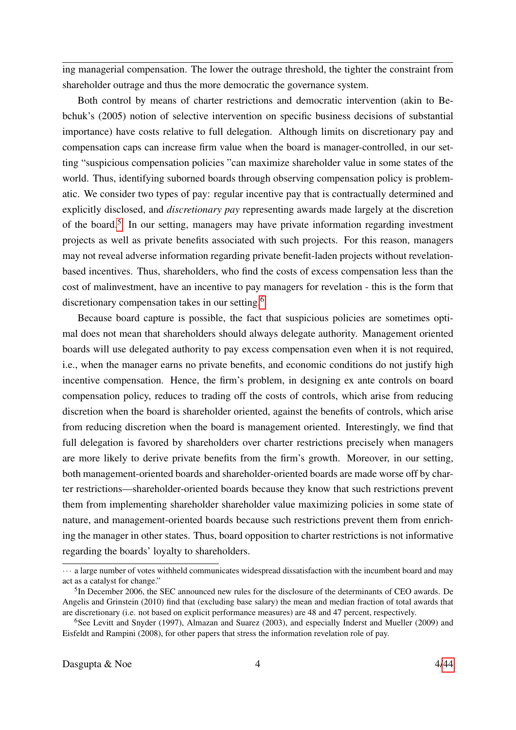ing managerial compensation. The lower the outrage threshold, the tighter the constraint from shareholder outrage and thus the more democratic the governance system.

Both control by means of charter restrictions and democratic intervention (akin to Bebchuk's (2005) notion of selective intervention on specific business decisions of substantial importance) have costs relative to full delegation. Although limits on discretionary pay and compensation caps can increase firm value when the board is manager-controlled, in our setting "suspicious compensation policies "can maximize shareholder value in some states of the world. Thus, identifying suborned boards through observing compensation policy is problematic. We consider two types of pay: regular incentive pay that is contractually determined and explicitly disclosed, and *discretionary pay* representing awards made largely at the discretion of the board.<sup>[5](#page-0-0)</sup> In our setting, managers may have private information regarding investment projects as well as private benefits associated with such projects. For this reason, managers may not reveal adverse information regarding private benefit-laden projects without revelationbased incentives. Thus, shareholders, who find the costs of excess compensation less than the cost of malinvestment, have an incentive to pay managers for revelation - this is the form that discretionary compensation takes in our setting.[6](#page-0-0)

Because board capture is possible, the fact that suspicious policies are sometimes optimal does not mean that shareholders should always delegate authority. Management oriented boards will use delegated authority to pay excess compensation even when it is not required, i.e., when the manager earns no private benefits, and economic conditions do not justify high incentive compensation. Hence, the firm's problem, in designing ex ante controls on board compensation policy, reduces to trading off the costs of controls, which arise from reducing discretion when the board is shareholder oriented, against the benefits of controls, which arise from reducing discretion when the board is management oriented. Interestingly, we find that full delegation is favored by shareholders over charter restrictions precisely when managers are more likely to derive private benefits from the firm's growth. Moreover, in our setting, both management-oriented boards and shareholder-oriented boards are made worse off by charter restrictions—shareholder-oriented boards because they know that such restrictions prevent them from implementing shareholder shareholder value maximizing policies in some state of nature, and management-oriented boards because such restrictions prevent them from enriching the manager in other states. Thus, board opposition to charter restrictions is not informative regarding the boards' loyalty to shareholders.

<sup>···</sup> a large number of votes withheld communicates widespread dissatisfaction with the incumbent board and may act as a catalyst for change."

<sup>&</sup>lt;sup>5</sup>In December 2006, the SEC announced new rules for the disclosure of the determinants of CEO awards. De Angelis and Grinstein (2010) find that (excluding base salary) the mean and median fraction of total awards that are discretionary (i.e. not based on explicit performance measures) are 48 and 47 percent, respectively.

<sup>6</sup>See Levitt and Snyder (1997), Almazan and Suarez (2003), and especially Inderst and Mueller (2009) and Eisfeldt and Rampini (2008), for other papers that stress the information revelation role of pay.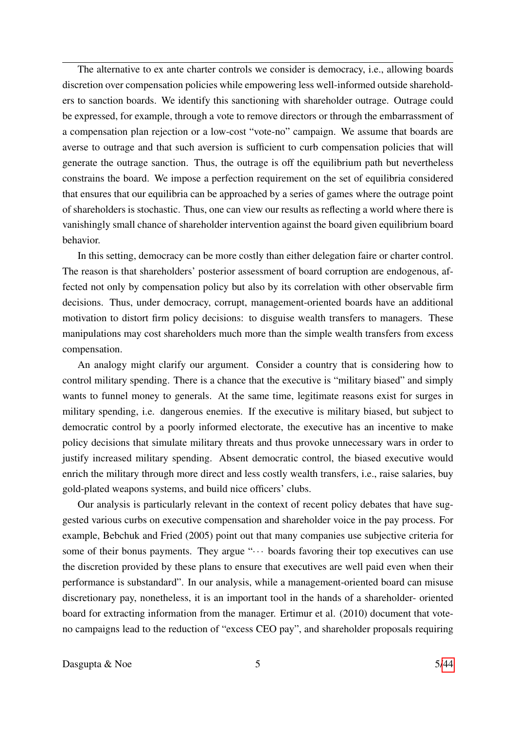The alternative to ex ante charter controls we consider is democracy, i.e., allowing boards discretion over compensation policies while empowering less well-informed outside shareholders to sanction boards. We identify this sanctioning with shareholder outrage. Outrage could be expressed, for example, through a vote to remove directors or through the embarrassment of a compensation plan rejection or a low-cost "vote-no" campaign. We assume that boards are averse to outrage and that such aversion is sufficient to curb compensation policies that will generate the outrage sanction. Thus, the outrage is off the equilibrium path but nevertheless constrains the board. We impose a perfection requirement on the set of equilibria considered that ensures that our equilibria can be approached by a series of games where the outrage point of shareholders is stochastic. Thus, one can view our results as reflecting a world where there is vanishingly small chance of shareholder intervention against the board given equilibrium board behavior.

In this setting, democracy can be more costly than either delegation faire or charter control. The reason is that shareholders' posterior assessment of board corruption are endogenous, affected not only by compensation policy but also by its correlation with other observable firm decisions. Thus, under democracy, corrupt, management-oriented boards have an additional motivation to distort firm policy decisions: to disguise wealth transfers to managers. These manipulations may cost shareholders much more than the simple wealth transfers from excess compensation.

An analogy might clarify our argument. Consider a country that is considering how to control military spending. There is a chance that the executive is "military biased" and simply wants to funnel money to generals. At the same time, legitimate reasons exist for surges in military spending, i.e. dangerous enemies. If the executive is military biased, but subject to democratic control by a poorly informed electorate, the executive has an incentive to make policy decisions that simulate military threats and thus provoke unnecessary wars in order to justify increased military spending. Absent democratic control, the biased executive would enrich the military through more direct and less costly wealth transfers, i.e., raise salaries, buy gold-plated weapons systems, and build nice officers' clubs.

Our analysis is particularly relevant in the context of recent policy debates that have suggested various curbs on executive compensation and shareholder voice in the pay process. For example, Bebchuk and Fried (2005) point out that many companies use subjective criteria for some of their bonus payments. They argue " $\cdots$  boards favoring their top executives can use the discretion provided by these plans to ensure that executives are well paid even when their performance is substandard". In our analysis, while a management-oriented board can misuse discretionary pay, nonetheless, it is an important tool in the hands of a shareholder- oriented board for extracting information from the manager. Ertimur et al. (2010) document that voteno campaigns lead to the reduction of "excess CEO pay", and shareholder proposals requiring

Dasgupta  $\&$  Noe  $5$  5[/44](#page-43-0)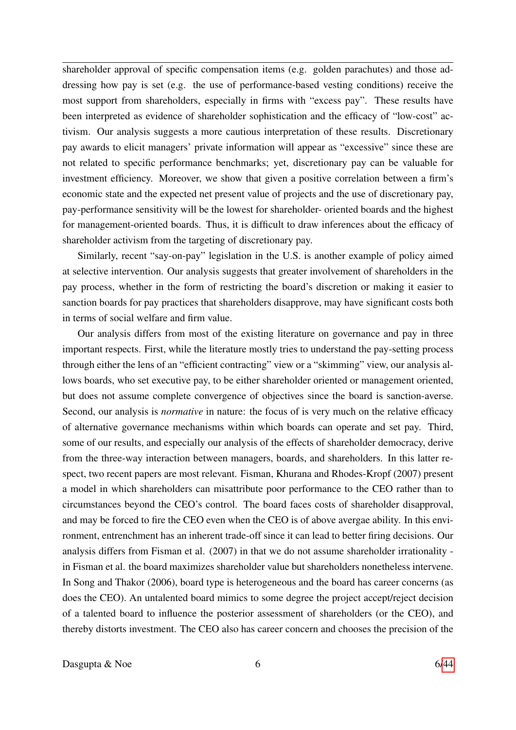shareholder approval of specific compensation items (e.g. golden parachutes) and those addressing how pay is set (e.g. the use of performance-based vesting conditions) receive the most support from shareholders, especially in firms with "excess pay". These results have been interpreted as evidence of shareholder sophistication and the efficacy of "low-cost" activism. Our analysis suggests a more cautious interpretation of these results. Discretionary pay awards to elicit managers' private information will appear as "excessive" since these are not related to specific performance benchmarks; yet, discretionary pay can be valuable for investment efficiency. Moreover, we show that given a positive correlation between a firm's economic state and the expected net present value of projects and the use of discretionary pay, pay-performance sensitivity will be the lowest for shareholder- oriented boards and the highest for management-oriented boards. Thus, it is difficult to draw inferences about the efficacy of shareholder activism from the targeting of discretionary pay.

Similarly, recent "say-on-pay" legislation in the U.S. is another example of policy aimed at selective intervention. Our analysis suggests that greater involvement of shareholders in the pay process, whether in the form of restricting the board's discretion or making it easier to sanction boards for pay practices that shareholders disapprove, may have significant costs both in terms of social welfare and firm value.

Our analysis differs from most of the existing literature on governance and pay in three important respects. First, while the literature mostly tries to understand the pay-setting process through either the lens of an "efficient contracting" view or a "skimming" view, our analysis allows boards, who set executive pay, to be either shareholder oriented or management oriented, but does not assume complete convergence of objectives since the board is sanction-averse. Second, our analysis is *normative* in nature: the focus of is very much on the relative efficacy of alternative governance mechanisms within which boards can operate and set pay. Third, some of our results, and especially our analysis of the effects of shareholder democracy, derive from the three-way interaction between managers, boards, and shareholders. In this latter respect, two recent papers are most relevant. Fisman, Khurana and Rhodes-Kropf (2007) present a model in which shareholders can misattribute poor performance to the CEO rather than to circumstances beyond the CEO's control. The board faces costs of shareholder disapproval, and may be forced to fire the CEO even when the CEO is of above avergae ability. In this environment, entrenchment has an inherent trade-off since it can lead to better firing decisions. Our analysis differs from Fisman et al. (2007) in that we do not assume shareholder irrationality in Fisman et al. the board maximizes shareholder value but shareholders nonetheless intervene. In Song and Thakor (2006), board type is heterogeneous and the board has career concerns (as does the CEO). An untalented board mimics to some degree the project accept/reject decision of a talented board to influence the posterior assessment of shareholders (or the CEO), and thereby distorts investment. The CEO also has career concern and chooses the precision of the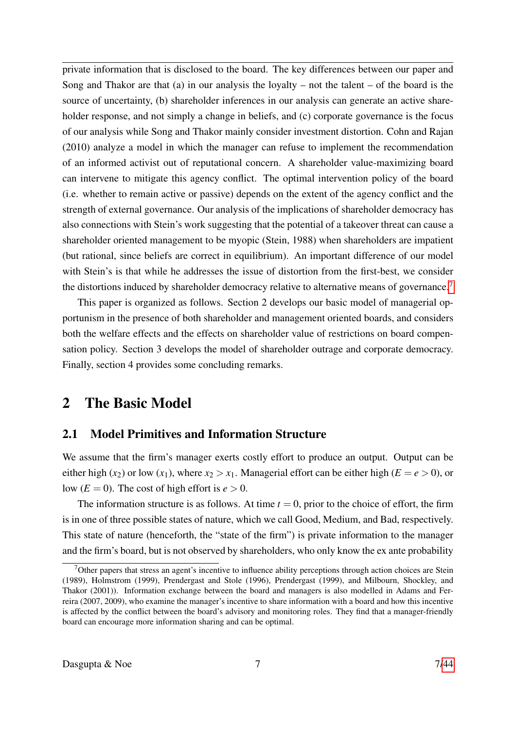private information that is disclosed to the board. The key differences between our paper and Song and Thakor are that (a) in our analysis the loyalty – not the talent – of the board is the source of uncertainty, (b) shareholder inferences in our analysis can generate an active shareholder response, and not simply a change in beliefs, and (c) corporate governance is the focus of our analysis while Song and Thakor mainly consider investment distortion. Cohn and Rajan (2010) analyze a model in which the manager can refuse to implement the recommendation of an informed activist out of reputational concern. A shareholder value-maximizing board can intervene to mitigate this agency conflict. The optimal intervention policy of the board (i.e. whether to remain active or passive) depends on the extent of the agency conflict and the strength of external governance. Our analysis of the implications of shareholder democracy has also connections with Stein's work suggesting that the potential of a takeover threat can cause a shareholder oriented management to be myopic (Stein, 1988) when shareholders are impatient (but rational, since beliefs are correct in equilibrium). An important difference of our model with Stein's is that while he addresses the issue of distortion from the first-best, we consider the distortions induced by shareholder democracy relative to alternative means of governance.<sup>[7](#page-0-0)</sup>

This paper is organized as follows. Section 2 develops our basic model of managerial opportunism in the presence of both shareholder and management oriented boards, and considers both the welfare effects and the effects on shareholder value of restrictions on board compensation policy. Section 3 develops the model of shareholder outrage and corporate democracy. Finally, section 4 provides some concluding remarks.

## 2 The Basic Model

## 2.1 Model Primitives and Information Structure

We assume that the firm's manager exerts costly effort to produce an output. Output can be either high (*x*<sub>2</sub>) or low (*x*<sub>1</sub>), where  $x_2 > x_1$ . Managerial effort can be either high (*E* = *e* > 0), or low  $(E = 0)$ . The cost of high effort is  $e > 0$ .

The information structure is as follows. At time  $t = 0$ , prior to the choice of effort, the firm is in one of three possible states of nature, which we call Good, Medium, and Bad, respectively. This state of nature (henceforth, the "state of the firm") is private information to the manager and the firm's board, but is not observed by shareholders, who only know the ex ante probability

<sup>&</sup>lt;sup>7</sup>Other papers that stress an agent's incentive to influence ability perceptions through action choices are Stein (1989), Holmstrom (1999), Prendergast and Stole (1996), Prendergast (1999), and Milbourn, Shockley, and Thakor (2001)). Information exchange between the board and managers is also modelled in Adams and Ferreira (2007, 2009), who examine the manager's incentive to share information with a board and how this incentive is affected by the conflict between the board's advisory and monitoring roles. They find that a manager-friendly board can encourage more information sharing and can be optimal.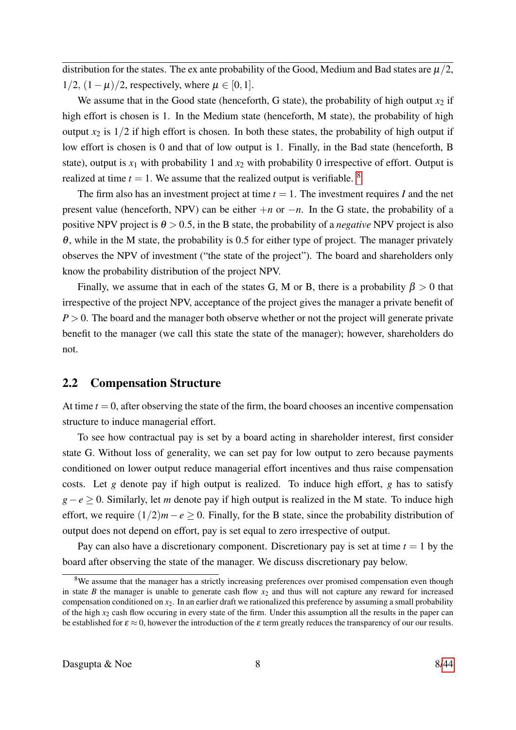distribution for the states. The ex ante probability of the Good, Medium and Bad states are  $\mu/2$ ,  $1/2$ ,  $(1 - \mu)/2$ , respectively, where  $\mu \in [0, 1]$ .

We assume that in the Good state (henceforth, G state), the probability of high output  $x_2$  if high effort is chosen is 1. In the Medium state (henceforth, M state), the probability of high output  $x_2$  is  $1/2$  if high effort is chosen. In both these states, the probability of high output if low effort is chosen is 0 and that of low output is 1. Finally, in the Bad state (henceforth, B state), output is  $x_1$  with probability 1 and  $x_2$  with probability 0 irrespective of effort. Output is realized at time  $t = 1$ . We assume that the realized output is verifiable. <sup>[8](#page-0-0)</sup>

The firm also has an investment project at time  $t = 1$ . The investment requires *I* and the net present value (henceforth, NPV) can be either  $+n$  or  $-n$ . In the G state, the probability of a positive NPV project is  $\theta > 0.5$ , in the B state, the probability of a *negative* NPV project is also  $\theta$ , while in the M state, the probability is 0.5 for either type of project. The manager privately observes the NPV of investment ("the state of the project"). The board and shareholders only know the probability distribution of the project NPV.

Finally, we assume that in each of the states G, M or B, there is a probability  $\beta > 0$  that irrespective of the project NPV, acceptance of the project gives the manager a private benefit of *P* > 0. The board and the manager both observe whether or not the project will generate private benefit to the manager (we call this state the state of the manager); however, shareholders do not.

### 2.2 Compensation Structure

At time  $t = 0$ , after observing the state of the firm, the board chooses an incentive compensation structure to induce managerial effort.

To see how contractual pay is set by a board acting in shareholder interest, first consider state G. Without loss of generality, we can set pay for low output to zero because payments conditioned on lower output reduce managerial effort incentives and thus raise compensation costs. Let *g* denote pay if high output is realized. To induce high effort, *g* has to satisfy *g*−*e* ≥ 0. Similarly, let *m* denote pay if high output is realized in the M state. To induce high effort, we require  $(1/2)m - e \ge 0$ . Finally, for the B state, since the probability distribution of output does not depend on effort, pay is set equal to zero irrespective of output.

Pay can also have a discretionary component. Discretionary pay is set at time  $t = 1$  by the board after observing the state of the manager. We discuss discretionary pay below.

<sup>&</sup>lt;sup>8</sup>We assume that the manager has a strictly increasing preferences over promised compensation even though in state *B* the manager is unable to generate cash flow  $x_2$  and thus will not capture any reward for increased compensation conditioned on *x*2. In an earlier draft we rationalized this preference by assuming a small probability of the high *x*<sup>2</sup> cash flow occuring in every state of the firm. Under this assumption all the results in the paper can be established for  $\varepsilon \approx 0$ , however the introduction of the  $\varepsilon$  term greatly reduces the transparency of our our results.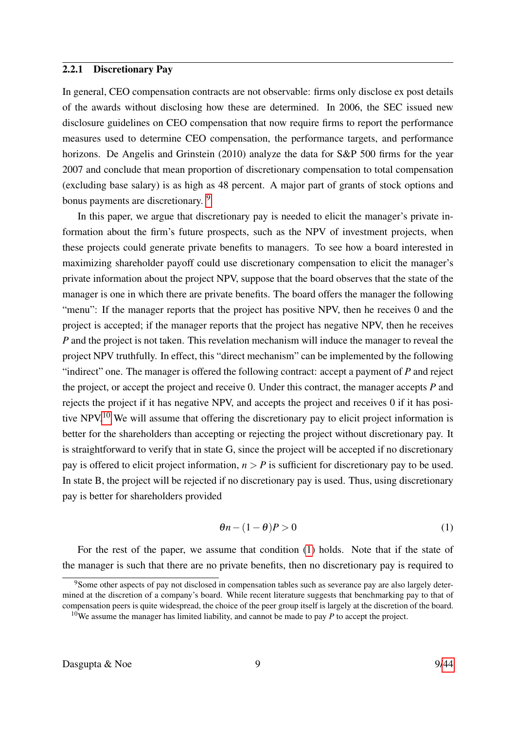### 2.2.1 Discretionary Pay

In general, CEO compensation contracts are not observable: firms only disclose ex post details of the awards without disclosing how these are determined. In 2006, the SEC issued new disclosure guidelines on CEO compensation that now require firms to report the performance measures used to determine CEO compensation, the performance targets, and performance horizons. De Angelis and Grinstein (2010) analyze the data for S&P 500 firms for the year 2007 and conclude that mean proportion of discretionary compensation to total compensation (excluding base salary) is as high as 48 percent. A major part of grants of stock options and bonus payments are discretionary. <sup>[9](#page-0-0)</sup>

In this paper, we argue that discretionary pay is needed to elicit the manager's private information about the firm's future prospects, such as the NPV of investment projects, when these projects could generate private benefits to managers. To see how a board interested in maximizing shareholder payoff could use discretionary compensation to elicit the manager's private information about the project NPV, suppose that the board observes that the state of the manager is one in which there are private benefits. The board offers the manager the following "menu": If the manager reports that the project has positive NPV, then he receives 0 and the project is accepted; if the manager reports that the project has negative NPV, then he receives *P* and the project is not taken. This revelation mechanism will induce the manager to reveal the project NPV truthfully. In effect, this "direct mechanism" can be implemented by the following "indirect" one. The manager is offered the following contract: accept a payment of *P* and reject the project, or accept the project and receive 0. Under this contract, the manager accepts *P* and rejects the project if it has negative NPV, and accepts the project and receives 0 if it has posi-tive NPV.<sup>[10](#page-0-0)</sup> We will assume that offering the discretionary pay to elicit project information is better for the shareholders than accepting or rejecting the project without discretionary pay. It is straightforward to verify that in state G, since the project will be accepted if no discretionary pay is offered to elicit project information,  $n > P$  is sufficient for discretionary pay to be used. In state B, the project will be rejected if no discretionary pay is used. Thus, using discretionary pay is better for shareholders provided

<span id="page-8-0"></span>
$$
\theta n - (1 - \theta)P > 0 \tag{1}
$$

For the rest of the paper, we assume that condition [\(1\)](#page-8-0) holds. Note that if the state of the manager is such that there are no private benefits, then no discretionary pay is required to

<sup>&</sup>lt;sup>9</sup>Some other aspects of pay not disclosed in compensation tables such as severance pay are also largely determined at the discretion of a company's board. While recent literature suggests that benchmarking pay to that of compensation peers is quite widespread, the choice of the peer group itself is largely at the discretion of the board. <sup>10</sup>We assume the manager has limited liability, and cannot be made to pay  $P$  to accept the project.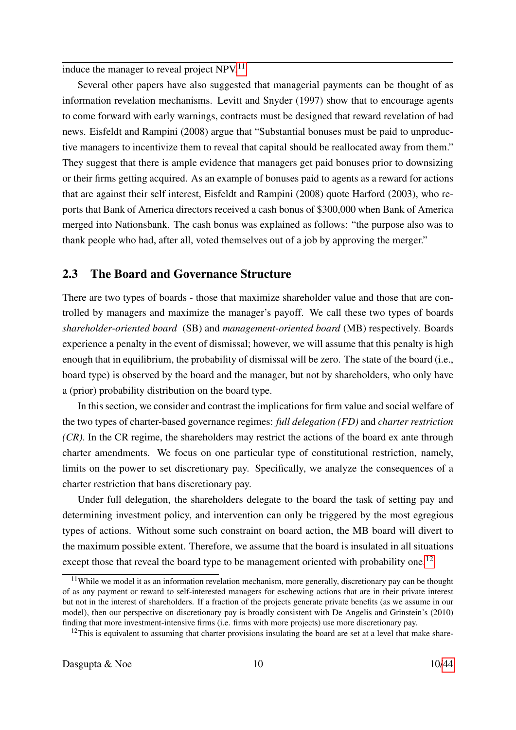induce the manager to reveal project  $NPV<sup>11</sup>$  $NPV<sup>11</sup>$  $NPV<sup>11</sup>$ 

Several other papers have also suggested that managerial payments can be thought of as information revelation mechanisms. Levitt and Snyder (1997) show that to encourage agents to come forward with early warnings, contracts must be designed that reward revelation of bad news. Eisfeldt and Rampini (2008) argue that "Substantial bonuses must be paid to unproductive managers to incentivize them to reveal that capital should be reallocated away from them." They suggest that there is ample evidence that managers get paid bonuses prior to downsizing or their firms getting acquired. As an example of bonuses paid to agents as a reward for actions that are against their self interest, Eisfeldt and Rampini (2008) quote Harford (2003), who reports that Bank of America directors received a cash bonus of \$300,000 when Bank of America merged into Nationsbank. The cash bonus was explained as follows: "the purpose also was to thank people who had, after all, voted themselves out of a job by approving the merger."

## 2.3 The Board and Governance Structure

There are two types of boards - those that maximize shareholder value and those that are controlled by managers and maximize the manager's payoff. We call these two types of boards *shareholder-oriented board* (SB) and *management-oriented board* (MB) respectively. Boards experience a penalty in the event of dismissal; however, we will assume that this penalty is high enough that in equilibrium, the probability of dismissal will be zero. The state of the board (i.e., board type) is observed by the board and the manager, but not by shareholders, who only have a (prior) probability distribution on the board type.

In this section, we consider and contrast the implications for firm value and social welfare of the two types of charter-based governance regimes: *full delegation (FD)* and *charter restriction (CR)*. In the CR regime, the shareholders may restrict the actions of the board ex ante through charter amendments. We focus on one particular type of constitutional restriction, namely, limits on the power to set discretionary pay. Specifically, we analyze the consequences of a charter restriction that bans discretionary pay.

Under full delegation, the shareholders delegate to the board the task of setting pay and determining investment policy, and intervention can only be triggered by the most egregious types of actions. Without some such constraint on board action, the MB board will divert to the maximum possible extent. Therefore, we assume that the board is insulated in all situations except those that reveal the board type to be management oriented with probability one.<sup>[12](#page-0-0)</sup>

<sup>&</sup>lt;sup>11</sup>While we model it as an information revelation mechanism, more generally, discretionary pay can be thought of as any payment or reward to self-interested managers for eschewing actions that are in their private interest but not in the interest of shareholders. If a fraction of the projects generate private benefits (as we assume in our model), then our perspective on discretionary pay is broadly consistent with De Angelis and Grinstein's (2010) finding that more investment-intensive firms (i.e. firms with more projects) use more discretionary pay.

 $12$ This is equivalent to assuming that charter provisions insulating the board are set at a level that make share-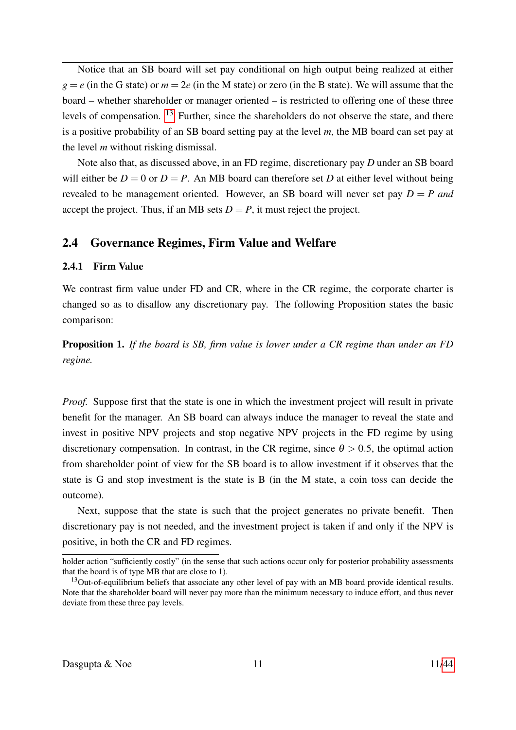Notice that an SB board will set pay conditional on high output being realized at either  $g = e$  (in the G state) or  $m = 2e$  (in the M state) or zero (in the B state). We will assume that the board – whether shareholder or manager oriented – is restricted to offering one of these three levels of compensation. [13](#page-0-0) Further, since the shareholders do not observe the state, and there is a positive probability of an SB board setting pay at the level *m*, the MB board can set pay at the level *m* without risking dismissal.

Note also that, as discussed above, in an FD regime, discretionary pay *D* under an SB board will either be  $D = 0$  or  $D = P$ . An MB board can therefore set *D* at either level without being revealed to be management oriented. However, an SB board will never set pay  $D = P$  and accept the project. Thus, if an MB sets  $D = P$ , it must reject the project.

## 2.4 Governance Regimes, Firm Value and Welfare

### 2.4.1 Firm Value

We contrast firm value under FD and CR, where in the CR regime, the corporate charter is changed so as to disallow any discretionary pay. The following Proposition states the basic comparison:

<span id="page-10-0"></span>Proposition 1. *If the board is SB, firm value is lower under a CR regime than under an FD regime.*

*Proof.* Suppose first that the state is one in which the investment project will result in private benefit for the manager. An SB board can always induce the manager to reveal the state and invest in positive NPV projects and stop negative NPV projects in the FD regime by using discretionary compensation. In contrast, in the CR regime, since  $\theta > 0.5$ , the optimal action from shareholder point of view for the SB board is to allow investment if it observes that the state is G and stop investment is the state is B (in the M state, a coin toss can decide the outcome).

Next, suppose that the state is such that the project generates no private benefit. Then discretionary pay is not needed, and the investment project is taken if and only if the NPV is positive, in both the CR and FD regimes.

holder action "sufficiently costly" (in the sense that such actions occur only for posterior probability assessments that the board is of type MB that are close to 1).

<sup>&</sup>lt;sup>13</sup>Out-of-equilibrium beliefs that associate any other level of pay with an MB board provide identical results. Note that the shareholder board will never pay more than the minimum necessary to induce effort, and thus never deviate from these three pay levels.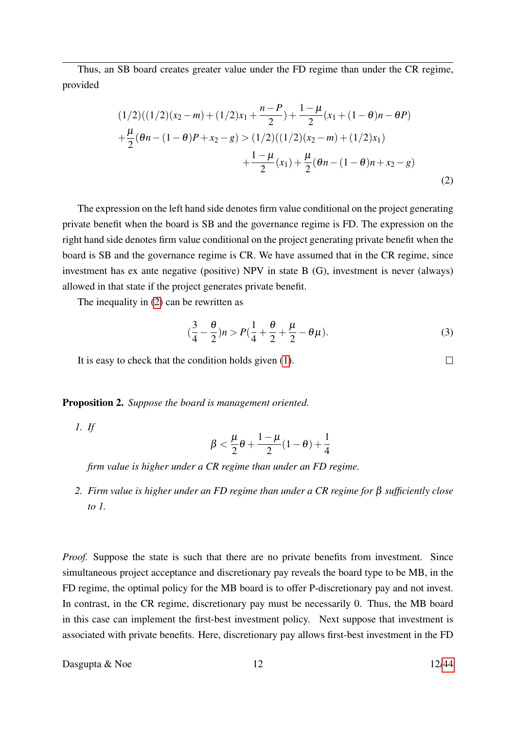Thus, an SB board creates greater value under the FD regime than under the CR regime, provided

<span id="page-11-0"></span>
$$
(1/2)((1/2)(x_2 - m) + (1/2)x_1 + \frac{n - P}{2}) + \frac{1 - \mu}{2}(x_1 + (1 - \theta)n - \theta P)
$$
  
+ 
$$
\frac{\mu}{2}(\theta n - (1 - \theta)P + x_2 - g) > (1/2)((1/2)(x_2 - m) + (1/2)x_1)
$$
  
+ 
$$
\frac{1 - \mu}{2}(x_1) + \frac{\mu}{2}(\theta n - (1 - \theta)n + x_2 - g)
$$
(2)

The expression on the left hand side denotes firm value conditional on the project generating private benefit when the board is SB and the governance regime is FD. The expression on the right hand side denotes firm value conditional on the project generating private benefit when the board is SB and the governance regime is CR. We have assumed that in the CR regime, since investment has ex ante negative (positive) NPV in state B (G), investment is never (always) allowed in that state if the project generates private benefit.

The inequality in [\(2\)](#page-11-0) can be rewritten as

$$
(\frac{3}{4} - \frac{\theta}{2})n > P(\frac{1}{4} + \frac{\theta}{2} + \frac{\mu}{2} - \theta\mu).
$$
 (3)

It is easy to check that the condition holds given [\(1\)](#page-8-0).

Proposition 2. *Suppose the board is management oriented.*

*1. If*

$$
\beta<\frac{\mu}{2}\theta+\frac{1-\mu}{2}(1-\theta)+\frac{1}{4}
$$

*firm value is higher under a CR regime than under an FD regime.*

<span id="page-11-1"></span>*2. Firm value is higher under an FD regime than under a CR regime for* β *sufficiently close to 1.*

*Proof.* Suppose the state is such that there are no private benefits from investment. Since simultaneous project acceptance and discretionary pay reveals the board type to be MB, in the FD regime, the optimal policy for the MB board is to offer P-discretionary pay and not invest. In contrast, in the CR regime, discretionary pay must be necessarily 0. Thus, the MB board in this case can implement the first-best investment policy. Next suppose that investment is associated with private benefits. Here, discretionary pay allows first-best investment in the FD

Dasgupta  $\&$  Noe 12 12[/44](#page-43-0)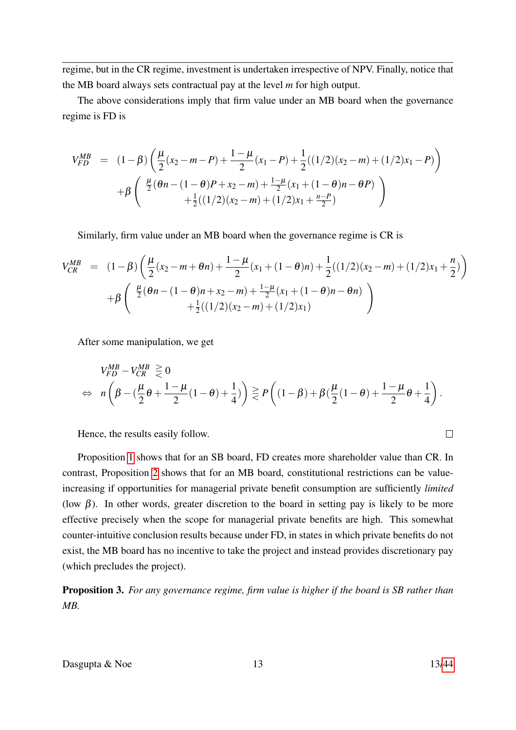regime, but in the CR regime, investment is undertaken irrespective of NPV. Finally, notice that the MB board always sets contractual pay at the level *m* for high output.

The above considerations imply that firm value under an MB board when the governance regime is FD is

$$
V_{FD}^{MB} = (1 - \beta) \left( \frac{\mu}{2} (x_2 - m - P) + \frac{1 - \mu}{2} (x_1 - P) + \frac{1}{2} ((1/2)(x_2 - m) + (1/2)x_1 - P) \right)
$$

$$
+ \beta \left( \frac{\frac{\mu}{2} (\theta n - (1 - \theta)P + x_2 - m) + \frac{1 - \mu}{2} (x_1 + (1 - \theta)n - \theta P)}{+\frac{1}{2} ((1/2)(x_2 - m) + (1/2)x_1 + \frac{n - P}{2})} \right)
$$

Similarly, firm value under an MB board when the governance regime is CR is

$$
V_{CR}^{MB} = (1 - \beta) \left( \frac{\mu}{2} (x_2 - m + \theta n) + \frac{1 - \mu}{2} (x_1 + (1 - \theta)n) + \frac{1}{2} ((1/2)(x_2 - m) + (1/2)x_1 + \frac{n}{2}) \right) + \beta \left( \frac{\mu}{2} (\theta n - (1 - \theta)n + x_2 - m) + \frac{1 - \mu}{2} (x_1 + (1 - \theta)n - \theta n) + \frac{1}{2} ((1/2)(x_2 - m) + (1/2)x_1) \right)
$$

After some manipulation, we get

$$
V_{FD}^{MB} - V_{CR}^{MB} \geq 0
$$
  
\n
$$
\Leftrightarrow n \left( \beta - \left( \frac{\mu}{2} \theta + \frac{1 - \mu}{2} (1 - \theta) + \frac{1}{4} \right) \right) \geq P \left( (1 - \beta) + \beta \left( \frac{\mu}{2} (1 - \theta) + \frac{1 - \mu}{2} \theta + \frac{1}{4} \right) \right).
$$

Hence, the results easily follow.

Proposition [1](#page-10-0) shows that for an SB board, FD creates more shareholder value than CR. In contrast, Proposition [2](#page-11-1) shows that for an MB board, constitutional restrictions can be valueincreasing if opportunities for managerial private benefit consumption are sufficiently *limited* (low  $\beta$ ). In other words, greater discretion to the board in setting pay is likely to be more effective precisely when the scope for managerial private benefits are high. This somewhat counter-intuitive conclusion results because under FD, in states in which private benefits do not exist, the MB board has no incentive to take the project and instead provides discretionary pay (which precludes the project).

Proposition 3. *For any governance regime, firm value is higher if the board is SB rather than MB.*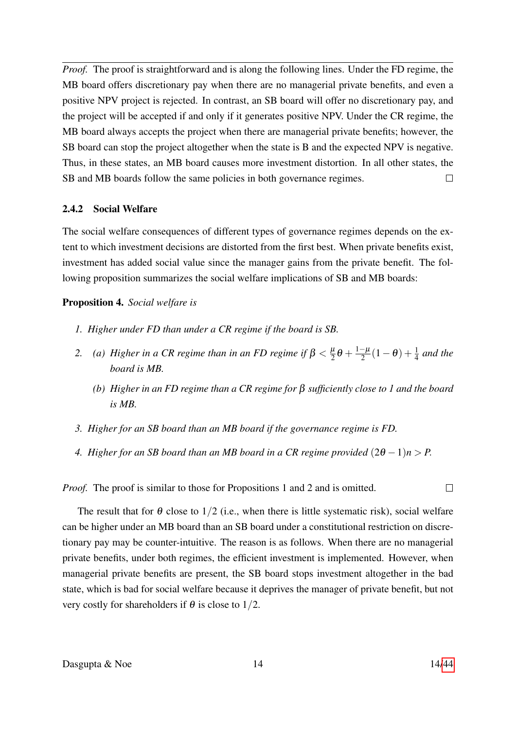*Proof.* The proof is straightforward and is along the following lines. Under the FD regime, the MB board offers discretionary pay when there are no managerial private benefits, and even a positive NPV project is rejected. In contrast, an SB board will offer no discretionary pay, and the project will be accepted if and only if it generates positive NPV. Under the CR regime, the MB board always accepts the project when there are managerial private benefits; however, the SB board can stop the project altogether when the state is B and the expected NPV is negative. Thus, in these states, an MB board causes more investment distortion. In all other states, the SB and MB boards follow the same policies in both governance regimes.  $\Box$ 

### 2.4.2 Social Welfare

The social welfare consequences of different types of governance regimes depends on the extent to which investment decisions are distorted from the first best. When private benefits exist, investment has added social value since the manager gains from the private benefit. The following proposition summarizes the social welfare implications of SB and MB boards:

### Proposition 4. *Social welfare is*

- *1. Higher under FD than under a CR regime if the board is SB.*
- 2. *(a) Higher in a CR regime than in an FD regime if*  $\beta < \frac{\mu}{2}$  $\frac{\mu}{2}\theta + \frac{1-\mu}{2}$  $\frac{-\mu}{2}(1-\theta)+\frac{1}{4}$  and the *board is MB.*
	- *(b) Higher in an FD regime than a CR regime for* β *sufficiently close to 1 and the board is MB.*
- *3. Higher for an SB board than an MB board if the governance regime is FD.*
- *4. Higher for an SB board than an MB board in a CR regime provided*  $(2\theta 1)n > P$ .

*Proof.* The proof is similar to those for Propositions 1 and 2 and is omitted.

The result that for  $\theta$  close to 1/2 (i.e., when there is little systematic risk), social welfare can be higher under an MB board than an SB board under a constitutional restriction on discretionary pay may be counter-intuitive. The reason is as follows. When there are no managerial private benefits, under both regimes, the efficient investment is implemented. However, when managerial private benefits are present, the SB board stops investment altogether in the bad state, which is bad for social welfare because it deprives the manager of private benefit, but not very costly for shareholders if  $\theta$  is close to 1/2.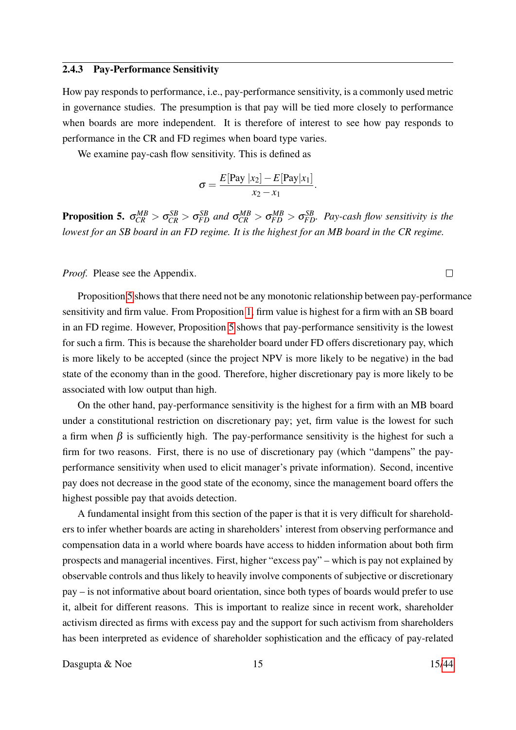#### 2.4.3 Pay-Performance Sensitivity

How pay responds to performance, i.e., pay-performance sensitivity, is a commonly used metric in governance studies. The presumption is that pay will be tied more closely to performance when boards are more independent. It is therefore of interest to see how pay responds to performance in the CR and FD regimes when board type varies.

We examine pay-cash flow sensitivity. This is defined as

$$
\sigma = \frac{E[\text{Pay }|x_2] - E[\text{Pay}|x_1]}{x_2 - x_1}.
$$

<span id="page-14-0"></span>**Proposition 5.**  $\sigma_{CR}^{MB} > \sigma_{CR}^{SB} > \sigma_{FD}^{SB}$  and  $\sigma_{CR}^{MB} > \sigma_{FD}^{MB} > \sigma_{FD}^{SB}$ . Pay-cash flow sensitivity is the *lowest for an SB board in an FD regime. It is the highest for an MB board in the CR regime.*

*Proof.* Please see the Appendix.

Proposition [5](#page-14-0) shows that there need not be any monotonic relationship between pay-performance sensitivity and firm value. From Proposition [1,](#page-10-0) firm value is highest for a firm with an SB board in an FD regime. However, Proposition [5](#page-14-0) shows that pay-performance sensitivity is the lowest for such a firm. This is because the shareholder board under FD offers discretionary pay, which is more likely to be accepted (since the project NPV is more likely to be negative) in the bad state of the economy than in the good. Therefore, higher discretionary pay is more likely to be associated with low output than high.

On the other hand, pay-performance sensitivity is the highest for a firm with an MB board under a constitutional restriction on discretionary pay; yet, firm value is the lowest for such a firm when  $\beta$  is sufficiently high. The pay-performance sensitivity is the highest for such a firm for two reasons. First, there is no use of discretionary pay (which "dampens" the payperformance sensitivity when used to elicit manager's private information). Second, incentive pay does not decrease in the good state of the economy, since the management board offers the highest possible pay that avoids detection.

A fundamental insight from this section of the paper is that it is very difficult for shareholders to infer whether boards are acting in shareholders' interest from observing performance and compensation data in a world where boards have access to hidden information about both firm prospects and managerial incentives. First, higher "excess pay" – which is pay not explained by observable controls and thus likely to heavily involve components of subjective or discretionary pay – is not informative about board orientation, since both types of boards would prefer to use it, albeit for different reasons. This is important to realize since in recent work, shareholder activism directed as firms with excess pay and the support for such activism from shareholders has been interpreted as evidence of shareholder sophistication and the efficacy of pay-related

Dasgupta  $\&$  Noe 15 15[/44](#page-43-0)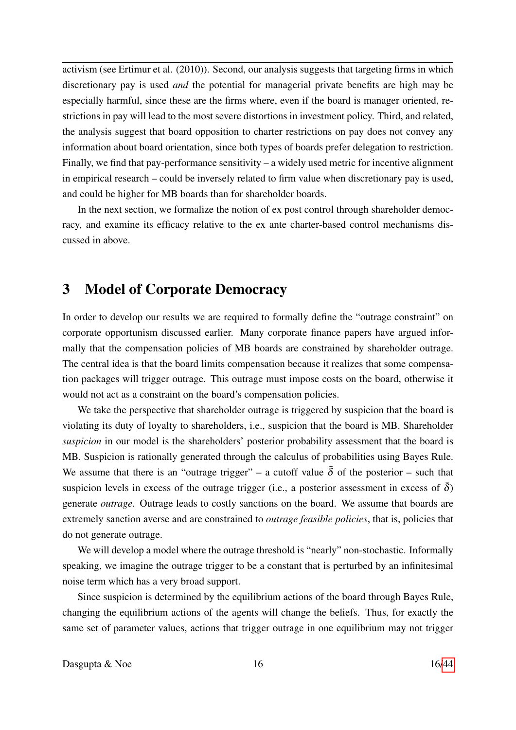activism (see Ertimur et al. (2010)). Second, our analysis suggests that targeting firms in which discretionary pay is used *and* the potential for managerial private benefits are high may be especially harmful, since these are the firms where, even if the board is manager oriented, restrictions in pay will lead to the most severe distortions in investment policy. Third, and related, the analysis suggest that board opposition to charter restrictions on pay does not convey any information about board orientation, since both types of boards prefer delegation to restriction. Finally, we find that pay-performance sensitivity – a widely used metric for incentive alignment in empirical research – could be inversely related to firm value when discretionary pay is used, and could be higher for MB boards than for shareholder boards.

In the next section, we formalize the notion of ex post control through shareholder democracy, and examine its efficacy relative to the ex ante charter-based control mechanisms discussed in above.

## 3 Model of Corporate Democracy

In order to develop our results we are required to formally define the "outrage constraint" on corporate opportunism discussed earlier. Many corporate finance papers have argued informally that the compensation policies of MB boards are constrained by shareholder outrage. The central idea is that the board limits compensation because it realizes that some compensation packages will trigger outrage. This outrage must impose costs on the board, otherwise it would not act as a constraint on the board's compensation policies.

We take the perspective that shareholder outrage is triggered by suspicion that the board is violating its duty of loyalty to shareholders, i.e., suspicion that the board is MB. Shareholder *suspicion* in our model is the shareholders' posterior probability assessment that the board is MB. Suspicion is rationally generated through the calculus of probabilities using Bayes Rule. We assume that there is an "outrage trigger" – a cutoff value  $\bar{\delta}$  of the posterior – such that suspicion levels in excess of the outrage trigger (i.e., a posterior assessment in excess of  $\delta$ ) generate *outrage*. Outrage leads to costly sanctions on the board. We assume that boards are extremely sanction averse and are constrained to *outrage feasible policies*, that is, policies that do not generate outrage.

We will develop a model where the outrage threshold is "nearly" non-stochastic. Informally speaking, we imagine the outrage trigger to be a constant that is perturbed by an infinitesimal noise term which has a very broad support.

Since suspicion is determined by the equilibrium actions of the board through Bayes Rule, changing the equilibrium actions of the agents will change the beliefs. Thus, for exactly the same set of parameter values, actions that trigger outrage in one equilibrium may not trigger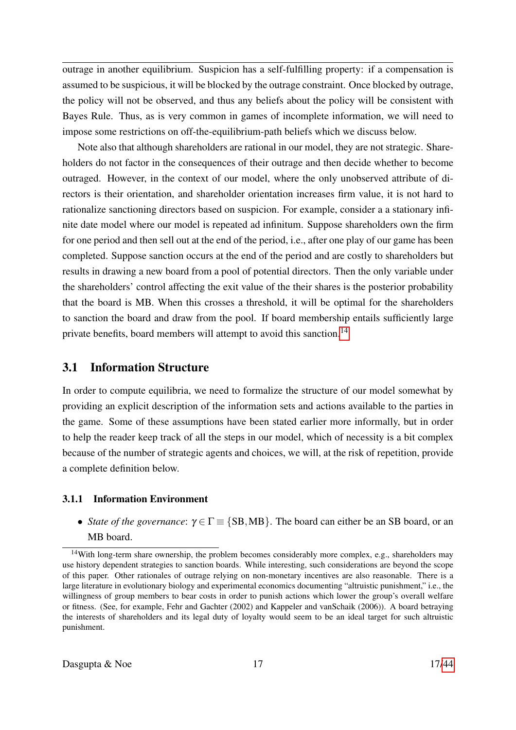outrage in another equilibrium. Suspicion has a self-fulfilling property: if a compensation is assumed to be suspicious, it will be blocked by the outrage constraint. Once blocked by outrage, the policy will not be observed, and thus any beliefs about the policy will be consistent with Bayes Rule. Thus, as is very common in games of incomplete information, we will need to impose some restrictions on off-the-equilibrium-path beliefs which we discuss below.

Note also that although shareholders are rational in our model, they are not strategic. Shareholders do not factor in the consequences of their outrage and then decide whether to become outraged. However, in the context of our model, where the only unobserved attribute of directors is their orientation, and shareholder orientation increases firm value, it is not hard to rationalize sanctioning directors based on suspicion. For example, consider a a stationary infinite date model where our model is repeated ad infinitum. Suppose shareholders own the firm for one period and then sell out at the end of the period, i.e., after one play of our game has been completed. Suppose sanction occurs at the end of the period and are costly to shareholders but results in drawing a new board from a pool of potential directors. Then the only variable under the shareholders' control affecting the exit value of the their shares is the posterior probability that the board is MB. When this crosses a threshold, it will be optimal for the shareholders to sanction the board and draw from the pool. If board membership entails sufficiently large private benefits, board members will attempt to avoid this sanction.<sup>[14](#page-0-0)</sup>

## 3.1 Information Structure

In order to compute equilibria, we need to formalize the structure of our model somewhat by providing an explicit description of the information sets and actions available to the parties in the game. Some of these assumptions have been stated earlier more informally, but in order to help the reader keep track of all the steps in our model, which of necessity is a bit complex because of the number of strategic agents and choices, we will, at the risk of repetition, provide a complete definition below.

### 3.1.1 Information Environment

• *State of the governance*:  $\gamma \in \Gamma \equiv \{SB, MB\}$ . The board can either be an SB board, or an MB board.

<sup>&</sup>lt;sup>14</sup>With long-term share ownership, the problem becomes considerably more complex, e.g., shareholders may use history dependent strategies to sanction boards. While interesting, such considerations are beyond the scope of this paper. Other rationales of outrage relying on non-monetary incentives are also reasonable. There is a large literature in evolutionary biology and experimental economics documenting "altruistic punishment," i.e., the willingness of group members to bear costs in order to punish actions which lower the group's overall welfare or fitness. (See, for example, Fehr and Gachter (2002) and Kappeler and vanSchaik (2006)). A board betraying the interests of shareholders and its legal duty of loyalty would seem to be an ideal target for such altruistic punishment.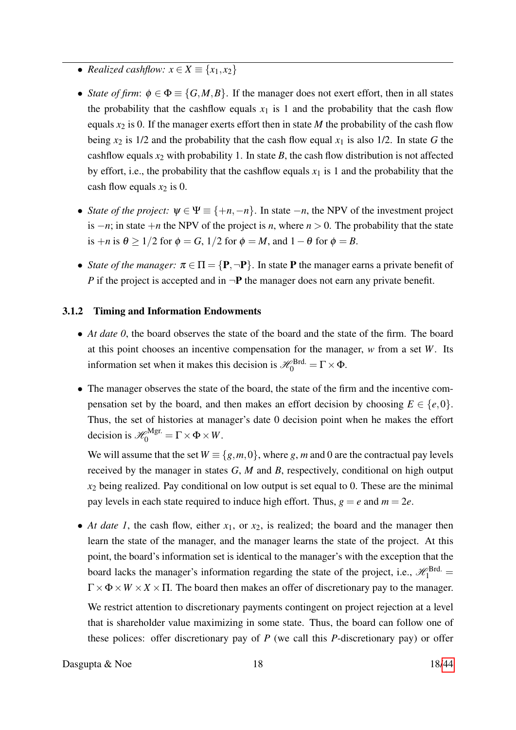- *Realized cashflow:*  $x \in X \equiv \{x_1, x_2\}$
- *State of firm:*  $\phi \in \Phi \equiv \{G, M, B\}$ . If the manager does not exert effort, then in all states the probability that the cashflow equals  $x_1$  is 1 and the probability that the cash flow equals  $x_2$  is 0. If the manager exerts effort then in state *M* the probability of the cash flow being  $x_2$  is 1/2 and the probability that the cash flow equal  $x_1$  is also 1/2. In state G the cashflow equals  $x_2$  with probability 1. In state  $B$ , the cash flow distribution is not affected by effort, i.e., the probability that the cashflow equals  $x_1$  is 1 and the probability that the cash flow equals  $x_2$  is 0.
- *State of the project:*  $\psi \in \Psi \equiv \{+n, -n\}$ . In state  $-n$ , the NPV of the investment project is  $-n$ ; in state  $+n$  the NPV of the project is *n*, where  $n > 0$ . The probability that the state is  $+n$  is  $\theta \ge 1/2$  for  $\phi = G$ ,  $1/2$  for  $\phi = M$ , and  $1 - \theta$  for  $\phi = B$ .
- *State of the manager:*  $\pi \in \Pi = \{P, \neg P\}$ . In state **P** the manager earns a private benefit of *P* if the project is accepted and in  $\neg$ **P** the manager does not earn any private benefit.

### 3.1.2 Timing and Information Endowments

- *At date 0*, the board observes the state of the board and the state of the firm. The board at this point chooses an incentive compensation for the manager, *w* from a set *W*. Its information set when it makes this decision is  $\mathscr{H}_{0}^{\text{Brd.}} = \Gamma \times \Phi$ .
- The manager observes the state of the board, the state of the firm and the incentive compensation set by the board, and then makes an effort decision by choosing  $E \in \{e, 0\}$ . Thus, the set of histories at manager's date 0 decision point when he makes the effort decision is  $\mathscr{H}_{0}^{\text{Mgr.}} = \Gamma \times \Phi \times W$ .

We will assume that the set  $W \equiv \{g, m, 0\}$ , where *g*, *m* and 0 are the contractual pay levels received by the manager in states *G*, *M* and *B*, respectively, conditional on high output  $x_2$  being realized. Pay conditional on low output is set equal to 0. These are the minimal pay levels in each state required to induce high effort. Thus,  $g = e$  and  $m = 2e$ .

• *At date 1*, the cash flow, either  $x_1$ , or  $x_2$ , is realized; the board and the manager then learn the state of the manager, and the manager learns the state of the project. At this point, the board's information set is identical to the manager's with the exception that the board lacks the manager's information regarding the state of the project, i.e.,  $\mathcal{H}_1^{\text{Brd.}} =$  $\Gamma \times \Phi \times W \times X \times \Pi$ . The board then makes an offer of discretionary pay to the manager.

We restrict attention to discretionary payments contingent on project rejection at a level that is shareholder value maximizing in some state. Thus, the board can follow one of these polices: offer discretionary pay of *P* (we call this *P*-discretionary pay) or offer

Dasgupta  $\&$  Noe 18 18[/44](#page-43-0)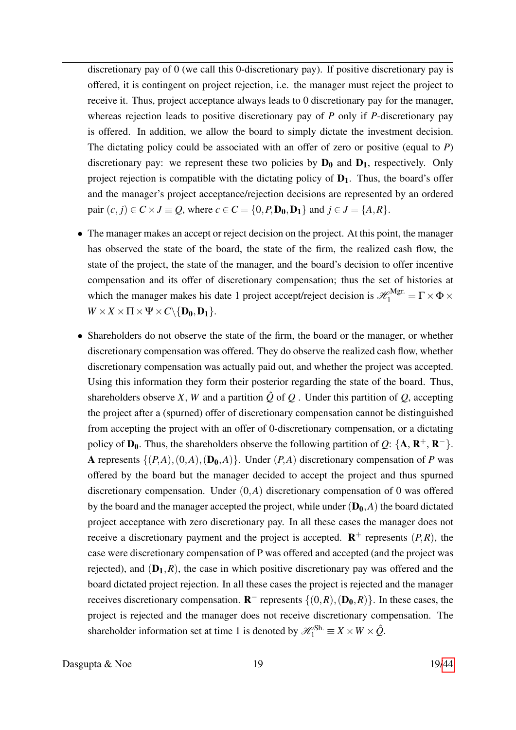discretionary pay of 0 (we call this 0-discretionary pay). If positive discretionary pay is offered, it is contingent on project rejection, i.e. the manager must reject the project to receive it. Thus, project acceptance always leads to 0 discretionary pay for the manager, whereas rejection leads to positive discretionary pay of *P* only if *P*-discretionary pay is offered. In addition, we allow the board to simply dictate the investment decision. The dictating policy could be associated with an offer of zero or positive (equal to *P*) discretionary pay: we represent these two policies by  $D_0$  and  $D_1$ , respectively. Only project rejection is compatible with the dictating policy of  $D_1$ . Thus, the board's offer and the manager's project acceptance/rejection decisions are represented by an ordered pair  $(c, j) \in C \times J \equiv Q$ , where  $c \in C = \{0, P, D_0, D_1\}$  and  $j \in J = \{A, R\}$ .

- The manager makes an accept or reject decision on the project. At this point, the manager has observed the state of the board, the state of the firm, the realized cash flow, the state of the project, the state of the manager, and the board's decision to offer incentive compensation and its offer of discretionary compensation; thus the set of histories at which the manager makes his date 1 project accept/reject decision is  $\mathscr{H}_1^{\text{Mgr.}} = \Gamma \times \Phi \times$  $W \times X \times \Pi \times \Psi \times C \setminus \{D_0, D_1\}.$
- Shareholders do not observe the state of the firm, the board or the manager, or whether discretionary compensation was offered. They do observe the realized cash flow, whether discretionary compensation was actually paid out, and whether the project was accepted. Using this information they form their posterior regarding the state of the board. Thus, shareholders observe *X*, *W* and a partition  $\hat{Q}$  of  $Q$ . Under this partition of  $Q$ , accepting the project after a (spurned) offer of discretionary compensation cannot be distinguished from accepting the project with an offer of 0-discretionary compensation, or a dictating policy of  $D_0$ . Thus, the shareholders observe the following partition of *Q*: {**A**, **R**<sup>+</sup>, **R**<sup>-</sup>}. A represents  $\{(P,A), (0,A), (D_0,A)\}$ . Under  $(P,A)$  discretionary compensation of P was offered by the board but the manager decided to accept the project and thus spurned discretionary compensation. Under (0,*A*) discretionary compensation of 0 was offered by the board and the manager accepted the project, while under  $(D_0, A)$  the board dictated project acceptance with zero discretionary pay. In all these cases the manager does not receive a discretionary payment and the project is accepted.  $\mathbb{R}^+$  represents  $(P, R)$ , the case were discretionary compensation of P was offered and accepted (and the project was rejected), and  $(D_1, R)$ , the case in which positive discretionary pay was offered and the board dictated project rejection. In all these cases the project is rejected and the manager receives discretionary compensation.  $\mathbf{R}^-$  represents  $\{(0,R),(\mathbf{D_0},R)\}\$ . In these cases, the project is rejected and the manager does not receive discretionary compensation. The shareholder information set at time 1 is denoted by  $\mathscr{H}^{Sh.}_1 \equiv X \times W \times \hat{Q}$ .

Dasgupta  $\&$  Noe 19 19[/44](#page-43-0)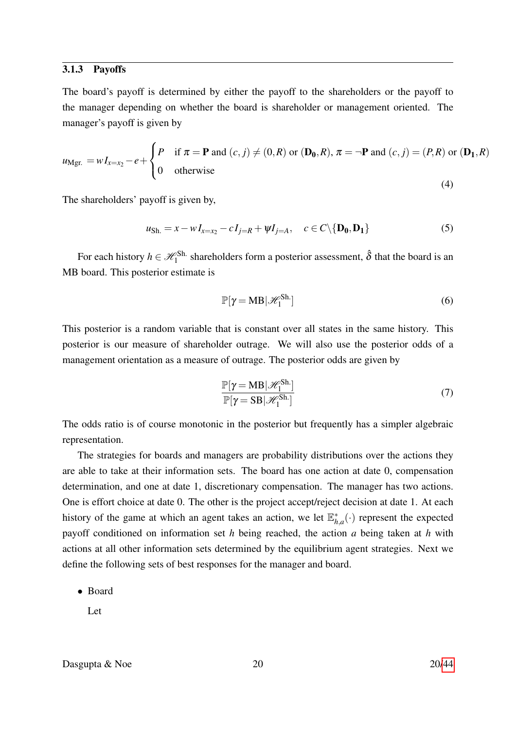#### 3.1.3 Payoffs

The board's payoff is determined by either the payoff to the shareholders or the payoff to the manager depending on whether the board is shareholder or management oriented. The manager's payoff is given by

$$
u_{\text{Mgr.}} = wI_{x=x_2} - e + \begin{cases} P & \text{if } \pi = \mathbf{P} \text{ and } (c, j) \neq (0, R) \text{ or } (\mathbf{D_0}, R), \pi = \neg \mathbf{P} \text{ and } (c, j) = (P, R) \text{ or } (\mathbf{D_1}, R) \\ 0 & \text{otherwise} \end{cases} \tag{4}
$$

The shareholders' payoff is given by,

$$
u_{\text{Sh.}} = x - w I_{x=x_2} - c I_{j=R} + \psi I_{j=A}, \quad c \in C \setminus \{ \mathbf{D_0, D_1} \} \tag{5}
$$

For each history  $h \in \mathcal{H}_1^{\text{Sh}}$  shareholders form a posterior assessment,  $\hat{\delta}$  that the board is an MB board. This posterior estimate is

$$
\mathbb{P}[\gamma = \text{MB}|\mathcal{H}_1^{\text{Sh.}}]
$$
 (6)

This posterior is a random variable that is constant over all states in the same history. This posterior is our measure of shareholder outrage. We will also use the posterior odds of a management orientation as a measure of outrage. The posterior odds are given by

$$
\frac{\mathbb{P}[\gamma = MB|\mathcal{H}_1^{Sh.}]}{\mathbb{P}[\gamma = SB|\mathcal{H}_1^{Sh.}]}
$$
\n(7)

The odds ratio is of course monotonic in the posterior but frequently has a simpler algebraic representation.

The strategies for boards and managers are probability distributions over the actions they are able to take at their information sets. The board has one action at date 0, compensation determination, and one at date 1, discretionary compensation. The manager has two actions. One is effort choice at date 0. The other is the project accept/reject decision at date 1. At each history of the game at which an agent takes an action, we let  $\mathbb{E}_{h}^{*}$  $h_{h,a}^*(\cdot)$  represent the expected payoff conditioned on information set *h* being reached, the action *a* being taken at *h* with actions at all other information sets determined by the equilibrium agent strategies. Next we define the following sets of best responses for the manager and board.

• Board

Let

Dasgupta & Noe 20 20[/44](#page-43-0)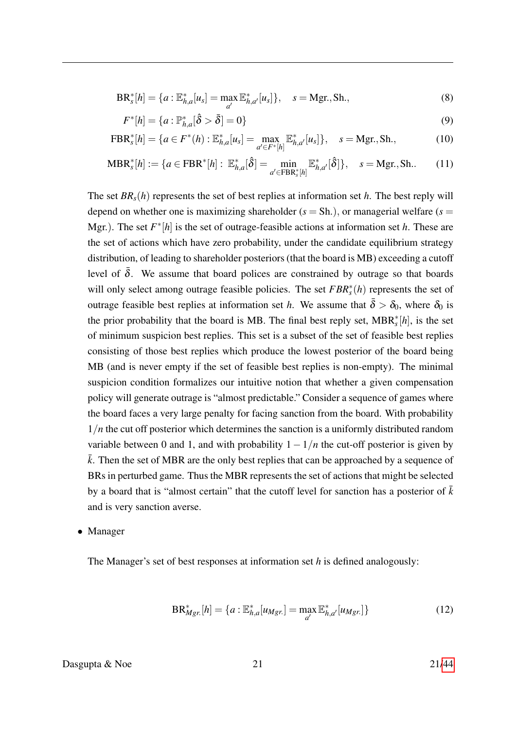$$
BR_s^*[h] = \{a : \mathbb{E}_{h,a}^*[u_s] = \max_{a'} \mathbb{E}_{h,a'}^*[u_s] \}, \quad s = Mgr., Sh., \tag{8}
$$

$$
F^*[h] = \{a : \mathbb{P}_{h,a}^*[\hat{\delta} > \bar{\delta}] = 0\}
$$
\n(9)

$$
FBR_s^*[h] = \{ a \in F^*(h) : \mathbb{E}_{h,a}^*[u_s] = \max_{a' \in F^*[h]} \mathbb{E}_{h,a'}^*[u_s] \}, \quad s = Mgr., Sh., \tag{10}
$$

$$
\text{MBR}_{s}^{*}[h] := \{ a \in \text{FBR}^{*}[h] : \mathbb{E}_{h,a}^{*}[\hat{\delta}] = \min_{a' \in \text{FBR}_{s}^{*}[h]} \mathbb{E}_{h,a'}^{*}[\hat{\delta}]\}, \quad s = \text{Mgr., Sh.} \tag{11}
$$

The set  $BR_s(h)$  represents the set of best replies at information set *h*. The best reply will depend on whether one is maximizing shareholder  $(s = Sh.)$ , or managerial welfare  $(s =$ Mgr.). The set  $F^*[h]$  is the set of outrage-feasible actions at information set *h*. These are the set of actions which have zero probability, under the candidate equilibrium strategy distribution, of leading to shareholder posteriors (that the board is MB) exceeding a cutoff level of  $\bar{\delta}$ . We assume that board polices are constrained by outrage so that boards will only select among outrage feasible policies. The set *FBR*<sup>∗</sup><sub>s</sub>(*h*) represents the set of outrage feasible best replies at information set *h*. We assume that  $\bar{\delta} > \delta_0$ , where  $\delta_0$  is the prior probability that the board is MB. The final best reply set, MBR<sup>∗</sup> *s* [*h*], is the set of minimum suspicion best replies. This set is a subset of the set of feasible best replies consisting of those best replies which produce the lowest posterior of the board being MB (and is never empty if the set of feasible best replies is non-empty). The minimal suspicion condition formalizes our intuitive notion that whether a given compensation policy will generate outrage is "almost predictable." Consider a sequence of games where the board faces a very large penalty for facing sanction from the board. With probability 1/*n* the cut off posterior which determines the sanction is a uniformly distributed random variable between 0 and 1, and with probability  $1-1/n$  the cut-off posterior is given by  $\bar{k}$ . Then the set of MBR are the only best replies that can be approached by a sequence of BRs in perturbed game. Thus the MBR represents the set of actions that might be selected by a board that is "almost certain" that the cutoff level for sanction has a posterior of  $\bar{k}$ and is very sanction averse.

#### • Manager

The Manager's set of best responses at information set *h* is defined analogously:

$$
BR_{Mgr.}^{*}[h] = \{a : \mathbb{E}_{h,a}^{*}[u_{Mgr.}] = \max_{a'} \mathbb{E}_{h,a'}^{*}[u_{Mgr.}]\}\
$$
 (12)

### Dasgupta  $\&$  Noe 21 21[/44](#page-43-0)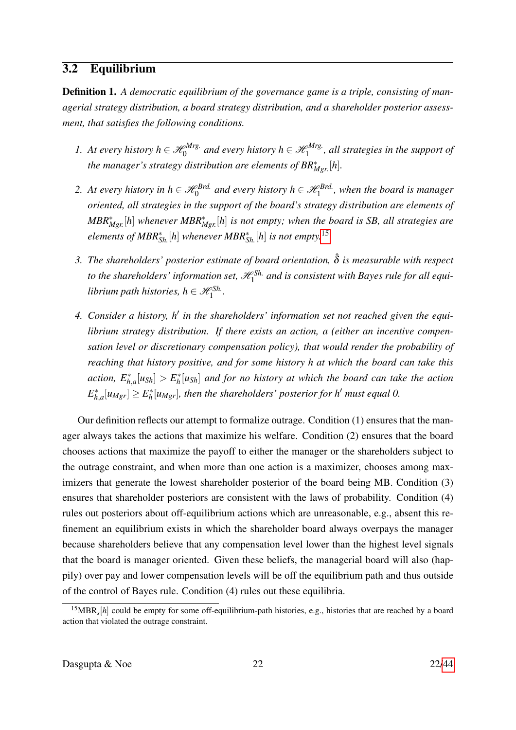## 3.2 Equilibrium

Definition 1. *A democratic equilibrium of the governance game is a triple, consisting of managerial strategy distribution, a board strategy distribution, and a shareholder posterior assessment, that satisfies the following conditions.*

- *1. At every history*  $h \in \mathcal{H}_0^{Mrg.}$  $\mathscr{A}_0^{Mrg.}$  and every history  $h \in \mathscr{H}_1^{Mrg.}$  $\int_1^{\rho M r g}$ , all strategies in the support of *the manager's strategy distribution are elements of BR*<sup>∗</sup> *Mgr*. [*h*]*.*
- 2. At every history in  $h \in \mathcal{H}_0^{Brd}$  and every history  $h \in \mathcal{H}_1^{Brd}$ , when the board is manager *oriented, all strategies in the support of the board's strategy distribution are elements of MBR*<sup>∗</sup> *Mgr.*[*h*] *whenever MBR*<sup>∗</sup> *Mgr.*[*h*] *is not empty; when the board is SB, all strategies are elements of MBR*<sup>∗</sup> *Sh.*[*h*] *whenever MBR*<sup>∗</sup> *Sh.*[*h*] *is not empty.*[15](#page-0-0)
- *3. The shareholders' posterior estimate of board orientation,* ˆδ *is measurable with respect* to the shareholders' information set,  $\mathscr{H}^{Sh.}_1$  and is consistent with Bayes rule for all equi*librium path histories, h*  $\in \mathscr{H}^{Sh.}_1$ .
- 4. Consider a history, h<sup>'</sup> in the shareholders' information set not reached given the equi*librium strategy distribution. If there exists an action, a (either an incentive compensation level or discretionary compensation policy), that would render the probability of reaching that history positive, and for some history h at which the board can take this*  $\textit{action}, E^*_{h,a}[u_{\text{Sh}}] > E^*_h$ *h* [*uSh*] *and for no history at which the board can take the action E* ∗  $\sum_{h,a}^* [u_{Mgr}] \geq E_h^*$  $\hat{h}_h^*[u_{Mgr}]$ , then the shareholders' posterior for h<sup>1</sup> must equal 0.

Our definition reflects our attempt to formalize outrage. Condition (1) ensures that the manager always takes the actions that maximize his welfare. Condition (2) ensures that the board chooses actions that maximize the payoff to either the manager or the shareholders subject to the outrage constraint, and when more than one action is a maximizer, chooses among maximizers that generate the lowest shareholder posterior of the board being MB. Condition (3) ensures that shareholder posteriors are consistent with the laws of probability. Condition (4) rules out posteriors about off-equilibrium actions which are unreasonable, e.g., absent this refinement an equilibrium exists in which the shareholder board always overpays the manager because shareholders believe that any compensation level lower than the highest level signals that the board is manager oriented. Given these beliefs, the managerial board will also (happily) over pay and lower compensation levels will be off the equilibrium path and thus outside of the control of Bayes rule. Condition (4) rules out these equilibria.

 $^{15}MBR_s[h]$  could be empty for some off-equilibrium-path histories, e.g., histories that are reached by a board action that violated the outrage constraint.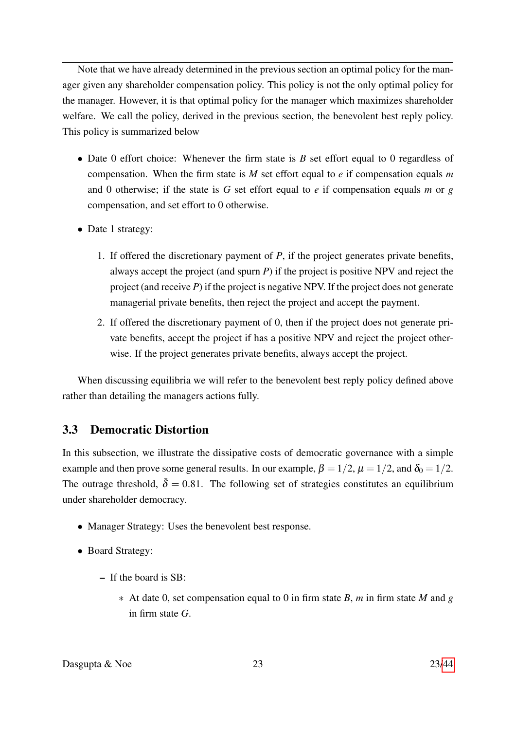Note that we have already determined in the previous section an optimal policy for the manager given any shareholder compensation policy. This policy is not the only optimal policy for the manager. However, it is that optimal policy for the manager which maximizes shareholder welfare. We call the policy, derived in the previous section, the benevolent best reply policy. This policy is summarized below

- Date 0 effort choice: Whenever the firm state is *B* set effort equal to 0 regardless of compensation. When the firm state is *M* set effort equal to *e* if compensation equals *m* and 0 otherwise; if the state is *G* set effort equal to *e* if compensation equals *m* or *g* compensation, and set effort to 0 otherwise.
- Date 1 strategy:
	- 1. If offered the discretionary payment of *P*, if the project generates private benefits, always accept the project (and spurn *P*) if the project is positive NPV and reject the project (and receive *P*) if the project is negative NPV. If the project does not generate managerial private benefits, then reject the project and accept the payment.
	- 2. If offered the discretionary payment of 0, then if the project does not generate private benefits, accept the project if has a positive NPV and reject the project otherwise. If the project generates private benefits, always accept the project.

When discussing equilibria we will refer to the benevolent best reply policy defined above rather than detailing the managers actions fully.

## 3.3 Democratic Distortion

In this subsection, we illustrate the dissipative costs of democratic governance with a simple example and then prove some general results. In our example,  $\beta = 1/2$ ,  $\mu = 1/2$ , and  $\delta_0 = 1/2$ . The outrage threshold,  $\bar{\delta} = 0.81$ . The following set of strategies constitutes an equilibrium under shareholder democracy.

- Manager Strategy: Uses the benevolent best response.
- Board Strategy:
	- If the board is SB:
		- ∗ At date 0, set compensation equal to 0 in firm state *B*, *m* in firm state *M* and *g* in firm state *G*.

Dasgupta & Noe 23 23[/44](#page-43-0)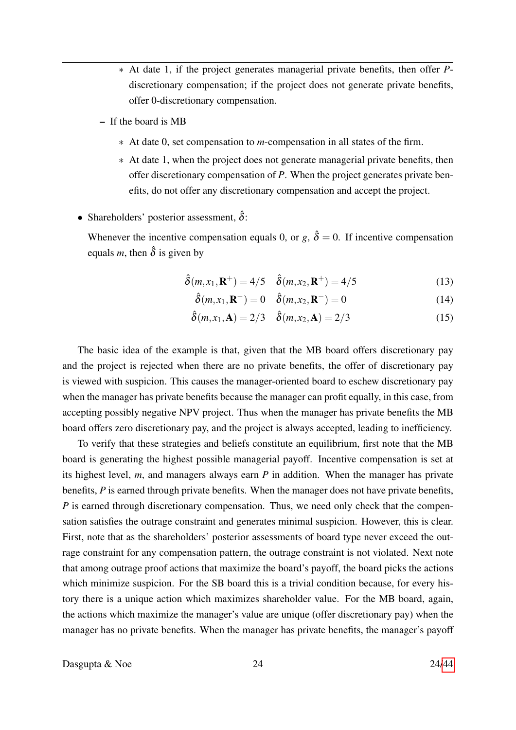- ∗ At date 1, if the project generates managerial private benefits, then offer *P*discretionary compensation; if the project does not generate private benefits, offer 0-discretionary compensation.
- If the board is MB
	- ∗ At date 0, set compensation to *m*-compensation in all states of the firm.
	- ∗ At date 1, when the project does not generate managerial private benefits, then offer discretionary compensation of *P*. When the project generates private benefits, do not offer any discretionary compensation and accept the project.
- Shareholders' posterior assessment,  $\hat{\delta}$ :

Whenever the incentive compensation equals 0, or  $g$ ,  $\hat{\delta} = 0$ . If incentive compensation equals *m*, then  $\hat{\delta}$  is given by

$$
\hat{\delta}(m, x_1, \mathbf{R}^+) = 4/5 \quad \hat{\delta}(m, x_2, \mathbf{R}^+) = 4/5 \tag{13}
$$

<span id="page-23-1"></span><span id="page-23-0"></span>
$$
\hat{\delta}(m, x_1, \mathbf{R}^-) = 0 \quad \hat{\delta}(m, x_2, \mathbf{R}^-) = 0 \tag{14}
$$

$$
\hat{\delta}(m, x_1, \mathbf{A}) = 2/3 \quad \hat{\delta}(m, x_2, \mathbf{A}) = 2/3 \tag{15}
$$

The basic idea of the example is that, given that the MB board offers discretionary pay and the project is rejected when there are no private benefits, the offer of discretionary pay is viewed with suspicion. This causes the manager-oriented board to eschew discretionary pay when the manager has private benefits because the manager can profit equally, in this case, from accepting possibly negative NPV project. Thus when the manager has private benefits the MB board offers zero discretionary pay, and the project is always accepted, leading to inefficiency.

To verify that these strategies and beliefs constitute an equilibrium, first note that the MB board is generating the highest possible managerial payoff. Incentive compensation is set at its highest level, *m*, and managers always earn *P* in addition. When the manager has private benefits, *P* is earned through private benefits. When the manager does not have private benefits, *P* is earned through discretionary compensation. Thus, we need only check that the compensation satisfies the outrage constraint and generates minimal suspicion. However, this is clear. First, note that as the shareholders' posterior assessments of board type never exceed the outrage constraint for any compensation pattern, the outrage constraint is not violated. Next note that among outrage proof actions that maximize the board's payoff, the board picks the actions which minimize suspicion. For the SB board this is a trivial condition because, for every history there is a unique action which maximizes shareholder value. For the MB board, again, the actions which maximize the manager's value are unique (offer discretionary pay) when the manager has no private benefits. When the manager has private benefits, the manager's payoff

Dasgupta  $\&$  Noe 24 24[/44](#page-43-0)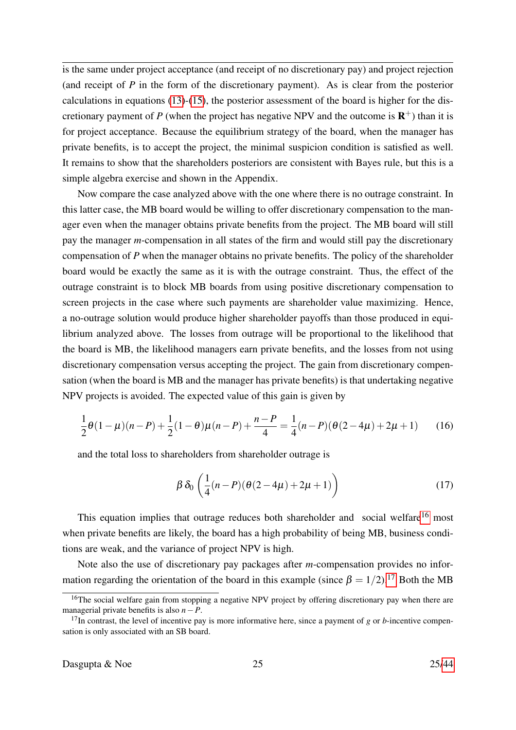is the same under project acceptance (and receipt of no discretionary pay) and project rejection (and receipt of *P* in the form of the discretionary payment). As is clear from the posterior calculations in equations [\(13\)](#page-23-0)-[\(15\)](#page-23-1), the posterior assessment of the board is higher for the discretionary payment of  $P$  (when the project has negative NPV and the outcome is  $\mathbb{R}^+$ ) than it is for project acceptance. Because the equilibrium strategy of the board, when the manager has private benefits, is to accept the project, the minimal suspicion condition is satisfied as well. It remains to show that the shareholders posteriors are consistent with Bayes rule, but this is a simple algebra exercise and shown in the Appendix.

Now compare the case analyzed above with the one where there is no outrage constraint. In this latter case, the MB board would be willing to offer discretionary compensation to the manager even when the manager obtains private benefits from the project. The MB board will still pay the manager *m*-compensation in all states of the firm and would still pay the discretionary compensation of *P* when the manager obtains no private benefits. The policy of the shareholder board would be exactly the same as it is with the outrage constraint. Thus, the effect of the outrage constraint is to block MB boards from using positive discretionary compensation to screen projects in the case where such payments are shareholder value maximizing. Hence, a no-outrage solution would produce higher shareholder payoffs than those produced in equilibrium analyzed above. The losses from outrage will be proportional to the likelihood that the board is MB, the likelihood managers earn private benefits, and the losses from not using discretionary compensation versus accepting the project. The gain from discretionary compensation (when the board is MB and the manager has private benefits) is that undertaking negative NPV projects is avoided. The expected value of this gain is given by

$$
\frac{1}{2}\theta(1-\mu)(n-P) + \frac{1}{2}(1-\theta)\mu(n-P) + \frac{n-P}{4} = \frac{1}{4}(n-P)(\theta(2-4\mu) + 2\mu + 1)
$$
 (16)

and the total loss to shareholders from shareholder outrage is

$$
\beta \,\delta_0 \left(\frac{1}{4}(n-P)(\theta(2-4\mu)+2\mu+1)\right) \tag{17}
$$

This equation implies that outrage reduces both shareholder and social welfare<sup>[16](#page-0-0)</sup> most when private benefits are likely, the board has a high probability of being MB, business conditions are weak, and the variance of project NPV is high.

Note also the use of discretionary pay packages after *m*-compensation provides no information regarding the orientation of the board in this example (since  $\beta = 1/2$ ).<sup>[17](#page-0-0)</sup> Both the MB

<sup>&</sup>lt;sup>16</sup>The social welfare gain from stopping a negative NPV project by offering discretionary pay when there are managerial private benefits is also *n*−*P*.

 $17$ In contrast, the level of incentive pay is more informative here, since a payment of *g* or *b*-incentive compensation is only associated with an SB board.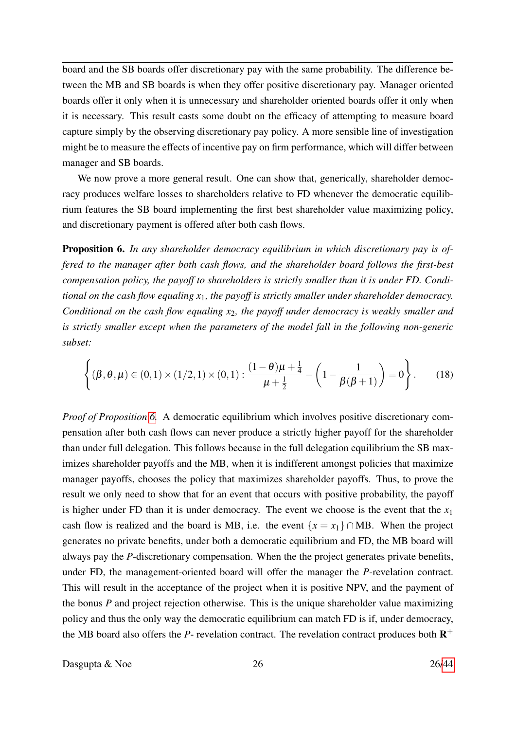board and the SB boards offer discretionary pay with the same probability. The difference between the MB and SB boards is when they offer positive discretionary pay. Manager oriented boards offer it only when it is unnecessary and shareholder oriented boards offer it only when it is necessary. This result casts some doubt on the efficacy of attempting to measure board capture simply by the observing discretionary pay policy. A more sensible line of investigation might be to measure the effects of incentive pay on firm performance, which will differ between manager and SB boards.

We now prove a more general result. One can show that, generically, shareholder democracy produces welfare losses to shareholders relative to FD whenever the democratic equilibrium features the SB board implementing the first best shareholder value maximizing policy, and discretionary payment is offered after both cash flows.

Proposition 6. *In any shareholder democracy equilibrium in which discretionary pay is offered to the manager after both cash flows, and the shareholder board follows the first-best compensation policy, the payoff to shareholders is strictly smaller than it is under FD. Conditional on the cash flow equaling x*1*, the payoff is strictly smaller under shareholder democracy. Conditional on the cash flow equaling x*2*, the payoff under democracy is weakly smaller and is strictly smaller except when the parameters of the model fall in the following non-generic subset:*

<span id="page-25-0"></span>
$$
\left\{ (\beta, \theta, \mu) \in (0, 1) \times (1/2, 1) \times (0, 1) : \frac{(1 - \theta)\mu + \frac{1}{4}}{\mu + \frac{1}{2}} - \left( 1 - \frac{1}{\beta(\beta + 1)} \right) = 0 \right\}.
$$
 (18)

*Proof of Proposition [6.](#page-25-0)* A democratic equilibrium which involves positive discretionary compensation after both cash flows can never produce a strictly higher payoff for the shareholder than under full delegation. This follows because in the full delegation equilibrium the SB maximizes shareholder payoffs and the MB, when it is indifferent amongst policies that maximize manager payoffs, chooses the policy that maximizes shareholder payoffs. Thus, to prove the result we only need to show that for an event that occurs with positive probability, the payoff is higher under FD than it is under democracy. The event we choose is the event that the  $x_1$ cash flow is realized and the board is MB, i.e. the event  $\{x = x_1\} \cap \text{MB}$ . When the project generates no private benefits, under both a democratic equilibrium and FD, the MB board will always pay the *P*-discretionary compensation. When the the project generates private benefits, under FD, the management-oriented board will offer the manager the *P*-revelation contract. This will result in the acceptance of the project when it is positive NPV, and the payment of the bonus *P* and project rejection otherwise. This is the unique shareholder value maximizing policy and thus the only way the democratic equilibrium can match FD is if, under democracy, the MB board also offers the  $P$ - revelation contract. The revelation contract produces both  $\mathbb{R}^+$ 

Dasgupta  $\&$  Noe 26 26[/44](#page-43-0)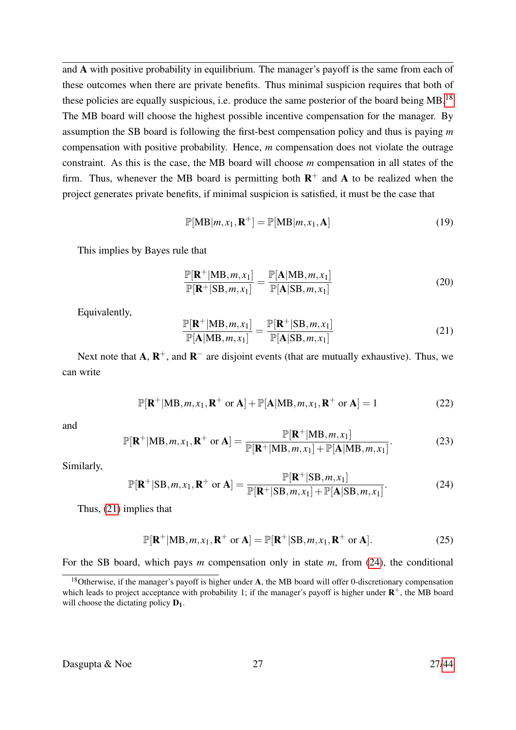and A with positive probability in equilibrium. The manager's payoff is the same from each of these outcomes when there are private benefits. Thus minimal suspicion requires that both of these policies are equally suspicious, i.e. produce the same posterior of the board being  $MB$ .<sup>[18](#page-0-0)</sup> The MB board will choose the highest possible incentive compensation for the manager. By assumption the SB board is following the first-best compensation policy and thus is paying *m* compensation with positive probability. Hence, *m* compensation does not violate the outrage constraint. As this is the case, the MB board will choose *m* compensation in all states of the firm. Thus, whenever the MB board is permitting both  $\mathbb{R}^+$  and A to be realized when the project generates private benefits, if minimal suspicion is satisfied, it must be the case that

$$
\mathbb{P}[\text{MB}|m, x_1, \mathbf{R}^+] = \mathbb{P}[\text{MB}|m, x_1, \mathbf{A}] \tag{19}
$$

This implies by Bayes rule that

$$
\frac{\mathbb{P}[\mathbf{R}^+|\mathrm{MB}, m, x_1]}{\mathbb{P}[\mathbf{R}^+|\mathrm{SB}, m, x_1]} = \frac{\mathbb{P}[\mathbf{A}|\mathrm{MB}, m, x_1]}{\mathbb{P}[\mathbf{A}|\mathrm{SB}, m, x_1]}
$$
(20)

Equivalently,

<span id="page-26-0"></span>
$$
\frac{\mathbb{P}[\mathbf{R}^+|\mathrm{MB}, m, x_1]}{\mathbb{P}[\mathbf{A}|\mathrm{MB}, m, x_1]} = \frac{\mathbb{P}[\mathbf{R}^+|\mathrm{SB}, m, x_1]}{\mathbb{P}[\mathbf{A}|\mathrm{SB}, m, x_1]}
$$
(21)

Next note that  $A, R^+$ , and  $R^-$  are disjoint events (that are mutually exhaustive). Thus, we can write

$$
\mathbb{P}[\mathbf{R}^+|\mathbf{M}\mathbf{B},m,x_1,\mathbf{R}^+\text{ or }\mathbf{A}]+\mathbb{P}[\mathbf{A}|\mathbf{M}\mathbf{B},m,x_1,\mathbf{R}^+\text{ or }\mathbf{A}]=1
$$
 (22)

and

<span id="page-26-3"></span>
$$
\mathbb{P}[\mathbf{R}^+|\mathbf{MB}, m, x_1, \mathbf{R}^+ \text{ or } \mathbf{A}] = \frac{\mathbb{P}[\mathbf{R}^+|\mathbf{MB}, m, x_1]}{\mathbb{P}[\mathbf{R}^+|\mathbf{MB}, m, x_1] + \mathbb{P}[\mathbf{A}|\mathbf{MB}, m, x_1]}.
$$
(23)

Similarly,

<span id="page-26-1"></span>
$$
\mathbb{P}[\mathbf{R}^+|\text{SB}, m, x_1, \mathbf{R}^+ \text{ or } \mathbf{A}] = \frac{\mathbb{P}[\mathbf{R}^+|\text{SB}, m, x_1]}{\mathbb{P}[\mathbf{R}^+|\text{SB}, m, x_1] + \mathbb{P}[\mathbf{A}|\text{SB}, m, x_1]}.
$$
(24)

Thus, [\(21\)](#page-26-0) implies that

<span id="page-26-2"></span>
$$
\mathbb{P}[\mathbf{R}^+|\mathbf{M}\mathbf{B}, m, x_1, \mathbf{R}^+ \text{ or } \mathbf{A}] = \mathbb{P}[\mathbf{R}^+|\mathbf{S}\mathbf{B}, m, x_1, \mathbf{R}^+ \text{ or } \mathbf{A}].\tag{25}
$$

For the SB board, which pays *m* compensation only in state *m*, from [\(24\)](#page-26-1), the conditional

<sup>&</sup>lt;sup>18</sup>Otherwise, if the manager's payoff is higher under  $\bf{A}$ , the MB board will offer 0-discretionary compensation which leads to project acceptance with probability 1; if the manager's payoff is higher under  $\mathbb{R}^+$ , the MB board will choose the dictating policy  $D_1$ .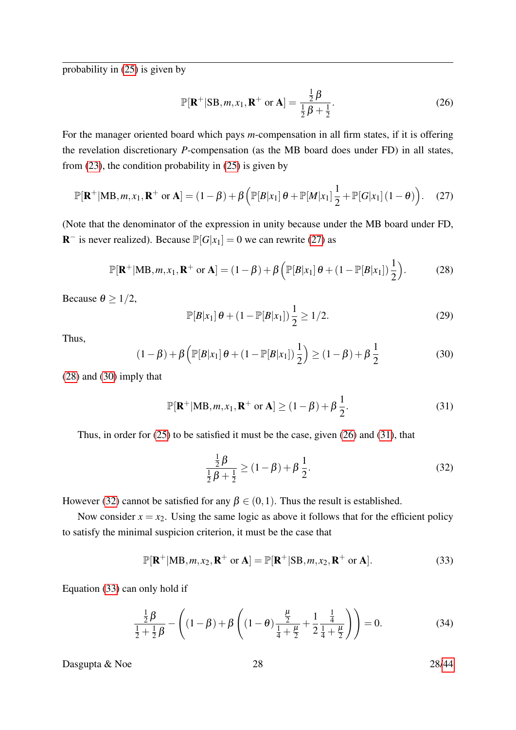probability in [\(25\)](#page-26-2) is given by

<span id="page-27-3"></span>
$$
\mathbb{P}[\mathbf{R}^+|SB,m,x_1,\mathbf{R}^+ \text{ or } \mathbf{A}] = \frac{\frac{1}{2}\beta}{\frac{1}{2}\beta + \frac{1}{2}}.
$$
 (26)

For the manager oriented board which pays *m*-compensation in all firm states, if it is offering the revelation discretionary *P*-compensation (as the MB board does under FD) in all states, from  $(23)$ , the condition probability in  $(25)$  is given by

<span id="page-27-0"></span>
$$
\mathbb{P}[\mathbf{R}^+|\mathbf{M}\mathbf{B},m,x_1,\mathbf{R}^+\text{ or }\mathbf{A}] = (1-\beta) + \beta \left( \mathbb{P}[B|x_1]\theta + \mathbb{P}[M|x_1]\frac{1}{2} + \mathbb{P}[G|x_1](1-\theta) \right). \quad (27)
$$

(Note that the denominator of the expression in unity because under the MB board under FD, **R**<sup>-</sup> is never realized). Because  $\mathbb{P}[G|x_1] = 0$  we can rewrite [\(27\)](#page-27-0) as

<span id="page-27-1"></span>
$$
\mathbb{P}[\mathbf{R}^+|\mathbf{M}\mathbf{B},m,x_1,\mathbf{R}^+\text{ or }\mathbf{A}] = (1-\beta) + \beta \left( \mathbb{P}[B|x_1] \theta + (1-\mathbb{P}[B|x_1]) \frac{1}{2} \right).
$$
 (28)

Because  $\theta \geq 1/2$ ,

$$
\mathbb{P}[B|x_1] \theta + (1 - \mathbb{P}[B|x_1]) \frac{1}{2} \ge 1/2. \tag{29}
$$

Thus,

<span id="page-27-2"></span>
$$
(1 - \beta) + \beta \left( \mathbb{P}[B|x_1] \theta + (1 - \mathbb{P}[B|x_1]) \frac{1}{2} \right) \ge (1 - \beta) + \beta \frac{1}{2}
$$
 (30)

[\(28\)](#page-27-1) and [\(30\)](#page-27-2) imply that

<span id="page-27-4"></span>
$$
\mathbb{P}[\mathbf{R}^+|\mathbf{M}\mathbf{B}, m, x_1, \mathbf{R}^+ \text{ or } \mathbf{A}] \ge (1 - \beta) + \beta \frac{1}{2}.
$$
 (31)

Thus, in order for  $(25)$  to be satisfied it must be the case, given  $(26)$  and  $(31)$ , that

<span id="page-27-5"></span>
$$
\frac{\frac{1}{2}\beta}{\frac{1}{2}\beta + \frac{1}{2}} \ge (1 - \beta) + \beta \frac{1}{2}.
$$
 (32)

However [\(32\)](#page-27-5) cannot be satisfied for any  $\beta \in (0,1)$ . Thus the result is established.

Now consider  $x = x_2$ . Using the same logic as above it follows that for the efficient policy to satisfy the minimal suspicion criterion, it must be the case that

<span id="page-27-6"></span>
$$
\mathbb{P}[\mathbf{R}^+|\mathbf{M}\mathbf{B},m,x_2,\mathbf{R}^+ \text{ or } \mathbf{A}] = \mathbb{P}[\mathbf{R}^+|\mathbf{S}\mathbf{B},m,x_2,\mathbf{R}^+ \text{ or } \mathbf{A}].\tag{33}
$$

Equation [\(33\)](#page-27-6) can only hold if

<span id="page-27-7"></span>
$$
\frac{\frac{1}{2}\beta}{\frac{1}{2} + \frac{1}{2}\beta} - \left( (1 - \beta) + \beta \left( (1 - \theta) \frac{\frac{\mu}{2}}{\frac{1}{4} + \frac{\mu}{2}} + \frac{1}{2} \frac{\frac{1}{4}}{\frac{1}{4} + \frac{\mu}{2}} \right) \right) = 0.
$$
 (34)

Dasgupta & Noe 28 28[/44](#page-43-0)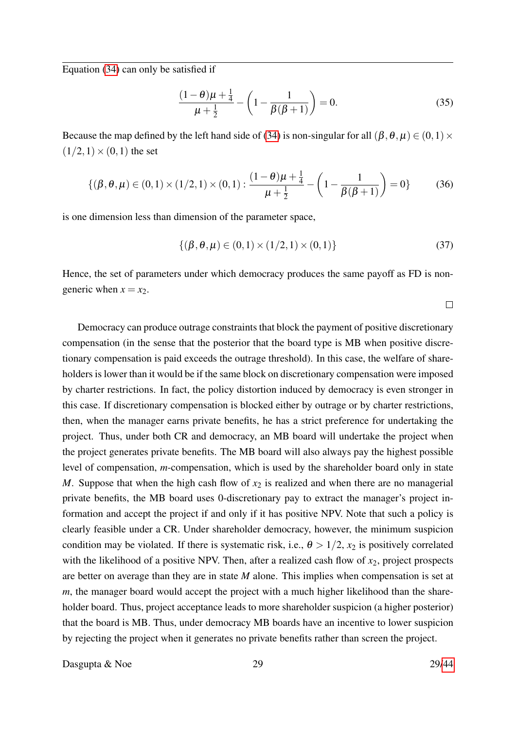Equation [\(34\)](#page-27-7) can only be satisfied if

$$
\frac{(1-\theta)\mu + \frac{1}{4}}{\mu + \frac{1}{2}} - \left(1 - \frac{1}{\beta(\beta+1)}\right) = 0.
$$
\n(35)

Because the map defined by the left hand side of [\(34\)](#page-27-7) is non-singular for all  $(\beta, \theta, \mu) \in (0,1) \times$  $(1/2,1) \times (0,1)$  the set

$$
\{(\beta,\theta,\mu)\in(0,1)\times(1/2,1)\times(0,1):\frac{(1-\theta)\mu+\frac{1}{4}}{\mu+\frac{1}{2}}-\left(1-\frac{1}{\beta(\beta+1)}\right)=0\}\qquad(36)
$$

is one dimension less than dimension of the parameter space,

$$
\{(\beta, \theta, \mu) \in (0, 1) \times (1/2, 1) \times (0, 1)\}\tag{37}
$$

Hence, the set of parameters under which democracy produces the same payoff as FD is nongeneric when  $x = x_2$ .

 $\Box$ 

Democracy can produce outrage constraints that block the payment of positive discretionary compensation (in the sense that the posterior that the board type is MB when positive discretionary compensation is paid exceeds the outrage threshold). In this case, the welfare of shareholders is lower than it would be if the same block on discretionary compensation were imposed by charter restrictions. In fact, the policy distortion induced by democracy is even stronger in this case. If discretionary compensation is blocked either by outrage or by charter restrictions, then, when the manager earns private benefits, he has a strict preference for undertaking the project. Thus, under both CR and democracy, an MB board will undertake the project when the project generates private benefits. The MB board will also always pay the highest possible level of compensation, *m*-compensation, which is used by the shareholder board only in state *M*. Suppose that when the high cash flow of  $x_2$  is realized and when there are no managerial private benefits, the MB board uses 0-discretionary pay to extract the manager's project information and accept the project if and only if it has positive NPV. Note that such a policy is clearly feasible under a CR. Under shareholder democracy, however, the minimum suspicion condition may be violated. If there is systematic risk, i.e.,  $\theta > 1/2$ ,  $x_2$  is positively correlated with the likelihood of a positive NPV. Then, after a realized cash flow of *x*2, project prospects are better on average than they are in state *M* alone. This implies when compensation is set at *m*, the manager board would accept the project with a much higher likelihood than the shareholder board. Thus, project acceptance leads to more shareholder suspicion (a higher posterior) that the board is MB. Thus, under democracy MB boards have an incentive to lower suspicion by rejecting the project when it generates no private benefits rather than screen the project.

Dasgupta & Noe 29 29[/44](#page-43-0)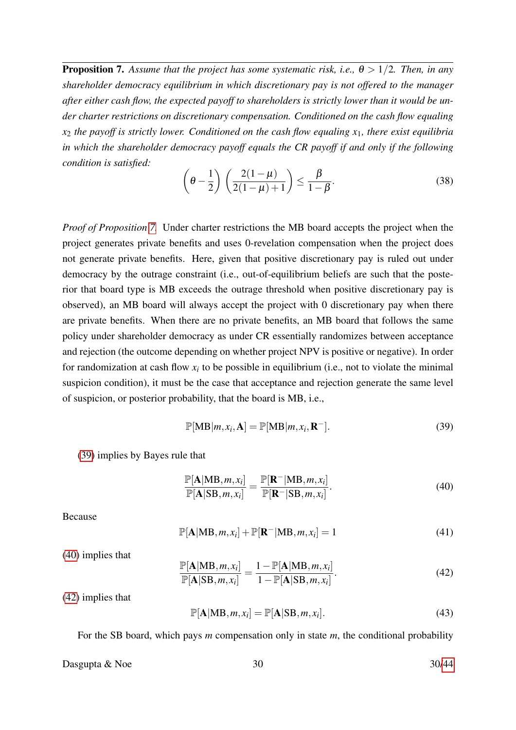**Proposition 7.** Assume that the project has some systematic risk, i.e.,  $\theta > 1/2$ . Then, in any *shareholder democracy equilibrium in which discretionary pay is not offered to the manager after either cash flow, the expected payoff to shareholders is strictly lower than it would be under charter restrictions on discretionary compensation. Conditioned on the cash flow equaling x*<sup>2</sup> *the payoff is strictly lower. Conditioned on the cash flow equaling x*1*, there exist equilibria in which the shareholder democracy payoff equals the CR payoff if and only if the following condition is satisfied:*

<span id="page-29-0"></span>
$$
\left(\theta - \frac{1}{2}\right) \left(\frac{2(1-\mu)}{2(1-\mu)+1}\right) \le \frac{\beta}{1-\beta}.
$$
\n(38)

*Proof of Proposition [7.](#page-29-0)* Under charter restrictions the MB board accepts the project when the project generates private benefits and uses 0-revelation compensation when the project does not generate private benefits. Here, given that positive discretionary pay is ruled out under democracy by the outrage constraint (i.e., out-of-equilibrium beliefs are such that the posterior that board type is MB exceeds the outrage threshold when positive discretionary pay is observed), an MB board will always accept the project with 0 discretionary pay when there are private benefits. When there are no private benefits, an MB board that follows the same policy under shareholder democracy as under CR essentially randomizes between acceptance and rejection (the outcome depending on whether project NPV is positive or negative). In order for randomization at cash flow  $x_i$  to be possible in equilibrium (i.e., not to violate the minimal suspicion condition), it must be the case that acceptance and rejection generate the same level of suspicion, or posterior probability, that the board is MB, i.e.,

<span id="page-29-1"></span>
$$
\mathbb{P}[\text{MB}|m, x_i, \mathbf{A}] = \mathbb{P}[\text{MB}|m, x_i, \mathbf{R}^-]. \tag{39}
$$

[\(39\)](#page-29-1) implies by Bayes rule that

<span id="page-29-2"></span>
$$
\frac{\mathbb{P}[\mathbf{A}|\mathbf{MB},m,x_i]}{\mathbb{P}[\mathbf{A}|\mathbf{SB},m,x_i]} = \frac{\mathbb{P}[\mathbf{R}^-|\mathbf{MB},m,x_i]}{\mathbb{P}[\mathbf{R}^-|\mathbf{SB},m,x_i]}.
$$
(40)

Because

$$
\mathbb{P}[\mathbf{A}|\mathbf{MB}, m, x_i] + \mathbb{P}[\mathbf{R}^-|\mathbf{MB}, m, x_i] = 1 \tag{41}
$$

[\(40\)](#page-29-2) implies that

<span id="page-29-3"></span>
$$
\frac{\mathbb{P}[\mathbf{A}|\mathbf{MB},m,x_i]}{\mathbb{P}[\mathbf{A}|\mathbf{SB},m,x_i]} = \frac{1 - \mathbb{P}[\mathbf{A}|\mathbf{MB},m,x_i]}{1 - \mathbb{P}[\mathbf{A}|\mathbf{SB},m,x_i]}.
$$
(42)

[\(42\)](#page-29-3) implies that

<span id="page-29-4"></span>
$$
\mathbb{P}[\mathbf{A}|\mathbf{MB}, m, x_i] = \mathbb{P}[\mathbf{A}|\mathbf{SB}, m, x_i]. \tag{43}
$$

For the SB board, which pays *m* compensation only in state *m*, the conditional probability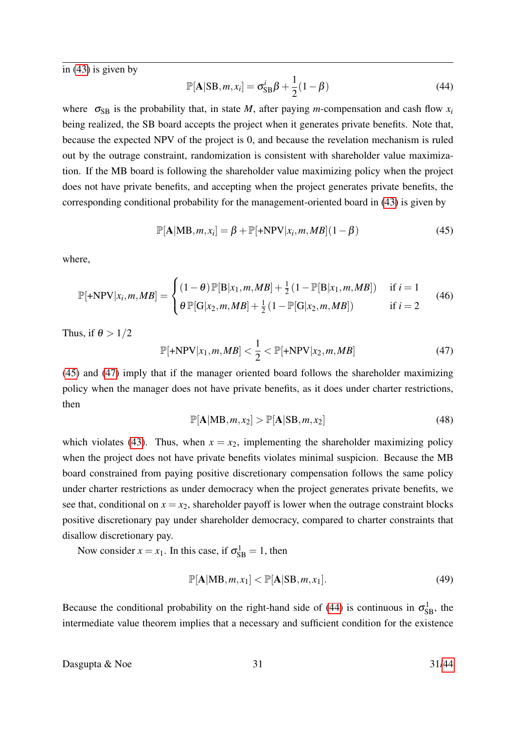in [\(43\)](#page-29-4) is given by

<span id="page-30-2"></span>
$$
\mathbb{P}[\mathbf{A}|\mathbf{SB}, m, x_i] = \sigma_{\mathbf{SB}}^i \beta + \frac{1}{2} (1 - \beta) \tag{44}
$$

where  $\sigma_{SB}$  is the probability that, in state *M*, after paying *m*-compensation and cash flow  $x_i$ being realized, the SB board accepts the project when it generates private benefits. Note that, because the expected NPV of the project is 0, and because the revelation mechanism is ruled out by the outrage constraint, randomization is consistent with shareholder value maximization. If the MB board is following the shareholder value maximizing policy when the project does not have private benefits, and accepting when the project generates private benefits, the corresponding conditional probability for the management-oriented board in [\(43\)](#page-29-4) is given by

<span id="page-30-0"></span>
$$
\mathbb{P}[\mathbf{A}|\mathbf{MB}, m, x_i] = \beta + \mathbb{P}[\mathbf{+NPV}|x_i, m, MB](1 - \beta)
$$
\n(45)

where,

$$
\mathbb{P}[\text{+NPV}|x_i, m, MB] = \begin{cases} (1 - \theta) \mathbb{P}[B|x_1, m, MB] + \frac{1}{2} (1 - \mathbb{P}[B|x_1, m, MB]) & \text{if } i = 1\\ \theta \mathbb{P}[G|x_2, m, MB] + \frac{1}{2} (1 - \mathbb{P}[G|x_2, m, MB]) & \text{if } i = 2 \end{cases}
$$
(46)

Thus, if  $\theta > 1/2$ 

<span id="page-30-1"></span>
$$
\mathbb{P}[\text{+NPV}|x_1, m, MB] < \frac{1}{2} < \mathbb{P}[\text{+NPV}|x_2, m, MB] \tag{47}
$$

[\(45\)](#page-30-0) and [\(47\)](#page-30-1) imply that if the manager oriented board follows the shareholder maximizing policy when the manager does not have private benefits, as it does under charter restrictions, then

$$
\mathbb{P}[\mathbf{A}|\mathbf{MB}, m, x_2] > \mathbb{P}[\mathbf{A}|\mathbf{SB}, m, x_2] \tag{48}
$$

which violates [\(43\)](#page-29-4). Thus, when  $x = x_2$ , implementing the shareholder maximizing policy when the project does not have private benefits violates minimal suspicion. Because the MB board constrained from paying positive discretionary compensation follows the same policy under charter restrictions as under democracy when the project generates private benefits, we see that, conditional on  $x = x_2$ , shareholder payoff is lower when the outrage constraint blocks positive discretionary pay under shareholder democracy, compared to charter constraints that disallow discretionary pay.

Now consider  $x = x_1$ . In this case, if  $\sigma_{SB}^1 = 1$ , then

$$
\mathbb{P}[\mathbf{A}|\mathbf{MB}, m, x_1] < \mathbb{P}[\mathbf{A}|\mathbf{SB}, m, x_1].\tag{49}
$$

Because the conditional probability on the right-hand side of [\(44\)](#page-30-2) is continuous in  $\sigma_{SB}^1$ , the intermediate value theorem implies that a necessary and sufficient condition for the existence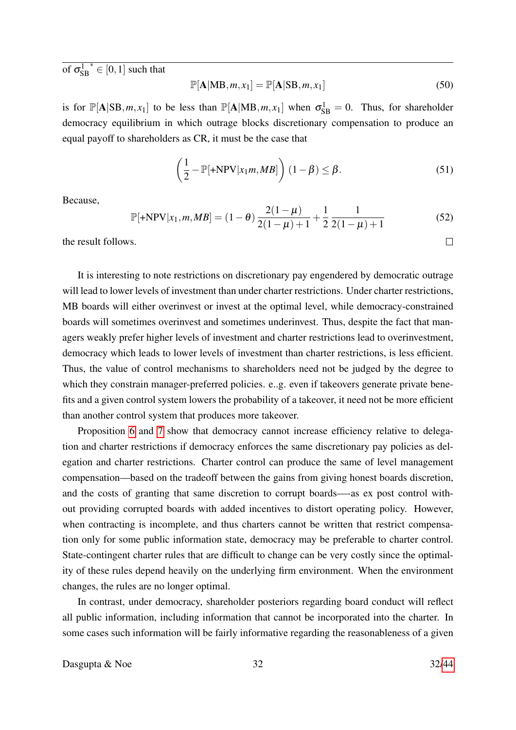of  $\sigma_{\!S}^1$ SB  $*\in [0,1]$  such that

$$
\mathbb{P}[\mathbf{A}|\mathbf{MB}, m, x_1] = \mathbb{P}[\mathbf{A}|\mathbf{SB}, m, x_1]
$$
\n(50)

is for  $\mathbb{P}[\mathbf{A} | \text{SB}, m, x_1]$  to be less than  $\mathbb{P}[\mathbf{A} | \text{MB}, m, x_1]$  when  $\sigma_{\text{SB}}^1 = 0$ . Thus, for shareholder democracy equilibrium in which outrage blocks discretionary compensation to produce an equal payoff to shareholders as CR, it must be the case that

$$
\left(\frac{1}{2} - \mathbb{P}[\pm NPV|x_1m, MB]\right) (1 - \beta) \leq \beta.
$$
 (51)

Because,

$$
\mathbb{P}[\text{+NPV}|x_1, m, MB] = (1 - \theta) \frac{2(1 - \mu)}{2(1 - \mu) + 1} + \frac{1}{2} \frac{1}{2(1 - \mu) + 1} \tag{52}
$$

the result follows.

It is interesting to note restrictions on discretionary pay engendered by democratic outrage will lead to lower levels of investment than under charter restrictions. Under charter restrictions, MB boards will either overinvest or invest at the optimal level, while democracy-constrained boards will sometimes overinvest and sometimes underinvest. Thus, despite the fact that managers weakly prefer higher levels of investment and charter restrictions lead to overinvestment, democracy which leads to lower levels of investment than charter restrictions, is less efficient. Thus, the value of control mechanisms to shareholders need not be judged by the degree to which they constrain manager-preferred policies. e.g. even if takeovers generate private benefits and a given control system lowers the probability of a takeover, it need not be more efficient than another control system that produces more takeover.

Proposition [6](#page-25-0) and [7](#page-29-0) show that democracy cannot increase efficiency relative to delegation and charter restrictions if democracy enforces the same discretionary pay policies as delegation and charter restrictions. Charter control can produce the same of level management compensation—based on the tradeoff between the gains from giving honest boards discretion, and the costs of granting that same discretion to corrupt boards—-as ex post control without providing corrupted boards with added incentives to distort operating policy. However, when contracting is incomplete, and thus charters cannot be written that restrict compensation only for some public information state, democracy may be preferable to charter control. State-contingent charter rules that are difficult to change can be very costly since the optimality of these rules depend heavily on the underlying firm environment. When the environment changes, the rules are no longer optimal.

In contrast, under democracy, shareholder posteriors regarding board conduct will reflect all public information, including information that cannot be incorporated into the charter. In some cases such information will be fairly informative regarding the reasonableness of a given

Dasgupta  $\&$  Noe  $32$  32[/44](#page-43-0)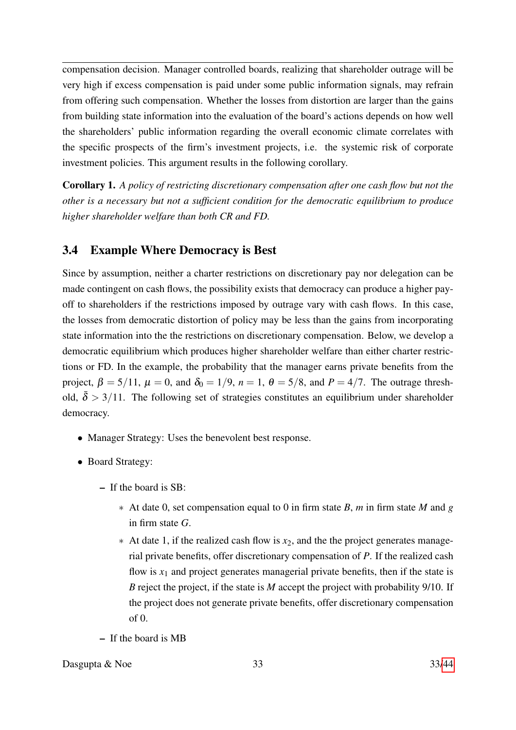compensation decision. Manager controlled boards, realizing that shareholder outrage will be very high if excess compensation is paid under some public information signals, may refrain from offering such compensation. Whether the losses from distortion are larger than the gains from building state information into the evaluation of the board's actions depends on how well the shareholders' public information regarding the overall economic climate correlates with the specific prospects of the firm's investment projects, i.e. the systemic risk of corporate investment policies. This argument results in the following corollary.

Corollary 1. *A policy of restricting discretionary compensation after one cash flow but not the other is a necessary but not a sufficient condition for the democratic equilibrium to produce higher shareholder welfare than both CR and FD.*

## 3.4 Example Where Democracy is Best

Since by assumption, neither a charter restrictions on discretionary pay nor delegation can be made contingent on cash flows, the possibility exists that democracy can produce a higher payoff to shareholders if the restrictions imposed by outrage vary with cash flows. In this case, the losses from democratic distortion of policy may be less than the gains from incorporating state information into the the restrictions on discretionary compensation. Below, we develop a democratic equilibrium which produces higher shareholder welfare than either charter restrictions or FD. In the example, the probability that the manager earns private benefits from the project,  $\beta = 5/11$ ,  $\mu = 0$ , and  $\delta_0 = 1/9$ ,  $n = 1$ ,  $\theta = 5/8$ , and  $P = 4/7$ . The outrage threshold,  $\delta > 3/11$ . The following set of strategies constitutes an equilibrium under shareholder democracy.

- Manager Strategy: Uses the benevolent best response.
- Board Strategy:
	- If the board is SB:
		- ∗ At date 0, set compensation equal to 0 in firm state *B*, *m* in firm state *M* and *g* in firm state *G*.
		- ∗ At date 1, if the realized cash flow is *x*2, and the the project generates managerial private benefits, offer discretionary compensation of *P*. If the realized cash flow is  $x_1$  and project generates managerial private benefits, then if the state is *B* reject the project, if the state is *M* accept the project with probability 9/10. If the project does not generate private benefits, offer discretionary compensation  $of  $0$$
	- If the board is MB
- Dasgupta  $\&$  Noe  $33$  33[/44](#page-43-0)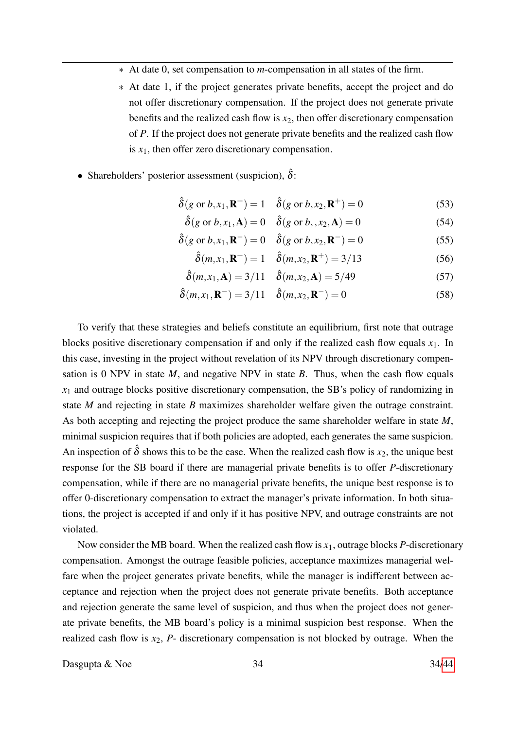- ∗ At date 0, set compensation to *m*-compensation in all states of the firm.
- ∗ At date 1, if the project generates private benefits, accept the project and do not offer discretionary compensation. If the project does not generate private benefits and the realized cash flow is  $x_2$ , then offer discretionary compensation of *P*. If the project does not generate private benefits and the realized cash flow is  $x_1$ , then offer zero discretionary compensation.
- Shareholders' posterior assessment (suspicion),  $\hat{\delta}$ :

$$
\hat{\delta}(g \text{ or } b, x_1, \mathbf{R}^+) = 1 \quad \hat{\delta}(g \text{ or } b, x_2, \mathbf{R}^+) = 0 \tag{53}
$$

$$
\hat{\delta}(g \text{ or } b, x_1, \mathbf{A}) = 0 \quad \hat{\delta}(g \text{ or } b, x_2, \mathbf{A}) = 0 \tag{54}
$$

$$
\hat{\delta}(g \text{ or } b, x_1, \mathbf{R}^-) = 0 \quad \hat{\delta}(g \text{ or } b, x_2, \mathbf{R}^-) = 0 \tag{55}
$$

$$
\hat{\delta}(m, x_1, \mathbf{R}^+) = 1 \quad \hat{\delta}(m, x_2, \mathbf{R}^+) = 3/13 \tag{56}
$$

$$
\hat{\delta}(m, x_1, \mathbf{A}) = 3/11 \quad \hat{\delta}(m, x_2, \mathbf{A}) = 5/49 \tag{57}
$$

$$
\hat{\delta}(m, x_1, \mathbf{R}^-) = 3/11 \quad \hat{\delta}(m, x_2, \mathbf{R}^-) = 0 \tag{58}
$$

To verify that these strategies and beliefs constitute an equilibrium, first note that outrage blocks positive discretionary compensation if and only if the realized cash flow equals  $x_1$ . In this case, investing in the project without revelation of its NPV through discretionary compensation is 0 NPV in state  $M$ , and negative NPV in state  $B$ . Thus, when the cash flow equals  $x_1$  and outrage blocks positive discretionary compensation, the SB's policy of randomizing in state *M* and rejecting in state *B* maximizes shareholder welfare given the outrage constraint. As both accepting and rejecting the project produce the same shareholder welfare in state *M*, minimal suspicion requires that if both policies are adopted, each generates the same suspicion. An inspection of  $\hat{\delta}$  shows this to be the case. When the realized cash flow is  $x_2$ , the unique best response for the SB board if there are managerial private benefits is to offer *P*-discretionary compensation, while if there are no managerial private benefits, the unique best response is to offer 0-discretionary compensation to extract the manager's private information. In both situations, the project is accepted if and only if it has positive NPV, and outrage constraints are not violated.

Now consider the MB board. When the realized cash flow is *x*1, outrage blocks *P*-discretionary compensation. Amongst the outrage feasible policies, acceptance maximizes managerial welfare when the project generates private benefits, while the manager is indifferent between acceptance and rejection when the project does not generate private benefits. Both acceptance and rejection generate the same level of suspicion, and thus when the project does not generate private benefits, the MB board's policy is a minimal suspicion best response. When the realized cash flow is  $x_2$ ,  $P$ - discretionary compensation is not blocked by outrage. When the

Dasgupta  $\&$  Noe  $34/44$  $34/44$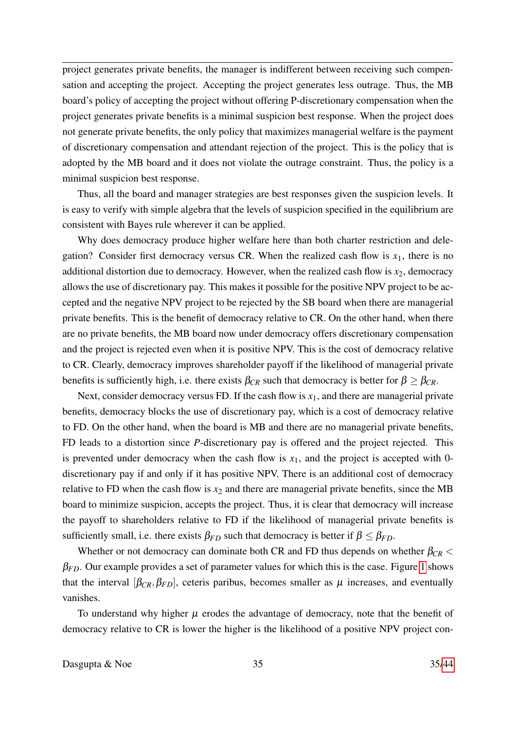project generates private benefits, the manager is indifferent between receiving such compensation and accepting the project. Accepting the project generates less outrage. Thus, the MB board's policy of accepting the project without offering P-discretionary compensation when the project generates private benefits is a minimal suspicion best response. When the project does not generate private benefits, the only policy that maximizes managerial welfare is the payment of discretionary compensation and attendant rejection of the project. This is the policy that is adopted by the MB board and it does not violate the outrage constraint. Thus, the policy is a minimal suspicion best response.

Thus, all the board and manager strategies are best responses given the suspicion levels. It is easy to verify with simple algebra that the levels of suspicion specified in the equilibrium are consistent with Bayes rule wherever it can be applied.

Why does democracy produce higher welfare here than both charter restriction and delegation? Consider first democracy versus CR. When the realized cash flow is  $x_1$ , there is no additional distortion due to democracy. However, when the realized cash flow is  $x_2$ , democracy allows the use of discretionary pay. This makes it possible for the positive NPV project to be accepted and the negative NPV project to be rejected by the SB board when there are managerial private benefits. This is the benefit of democracy relative to CR. On the other hand, when there are no private benefits, the MB board now under democracy offers discretionary compensation and the project is rejected even when it is positive NPV. This is the cost of democracy relative to CR. Clearly, democracy improves shareholder payoff if the likelihood of managerial private benefits is sufficiently high, i.e. there exists  $\beta_{CR}$  such that democracy is better for  $\beta \geq \beta_{CR}$ .

Next, consider democracy versus FD. If the cash flow is  $x_1$ , and there are managerial private benefits, democracy blocks the use of discretionary pay, which is a cost of democracy relative to FD. On the other hand, when the board is MB and there are no managerial private benefits, FD leads to a distortion since *P*-discretionary pay is offered and the project rejected. This is prevented under democracy when the cash flow is  $x_1$ , and the project is accepted with 0discretionary pay if and only if it has positive NPV. There is an additional cost of democracy relative to FD when the cash flow is  $x_2$  and there are managerial private benefits, since the MB board to minimize suspicion, accepts the project. Thus, it is clear that democracy will increase the payoff to shareholders relative to FD if the likelihood of managerial private benefits is sufficiently small, i.e. there exists  $\beta_{FD}$  such that democracy is better if  $\beta \leq \beta_{FD}$ .

Whether or not democracy can dominate both CR and FD thus depends on whether  $\beta_{CR}$  <  $\beta_{FD}$ . Our example provides a set of parameter values for which this is the case. Figure [1](#page-35-0) shows that the interval  $[\beta_{CR}, \beta_{FD}]$ , ceteris paribus, becomes smaller as  $\mu$  increases, and eventually vanishes.

To understand why higher  $\mu$  erodes the advantage of democracy, note that the benefit of democracy relative to CR is lower the higher is the likelihood of a positive NPV project con-

Dasgupta  $\&$  Noe  $35$  35[/44](#page-43-0)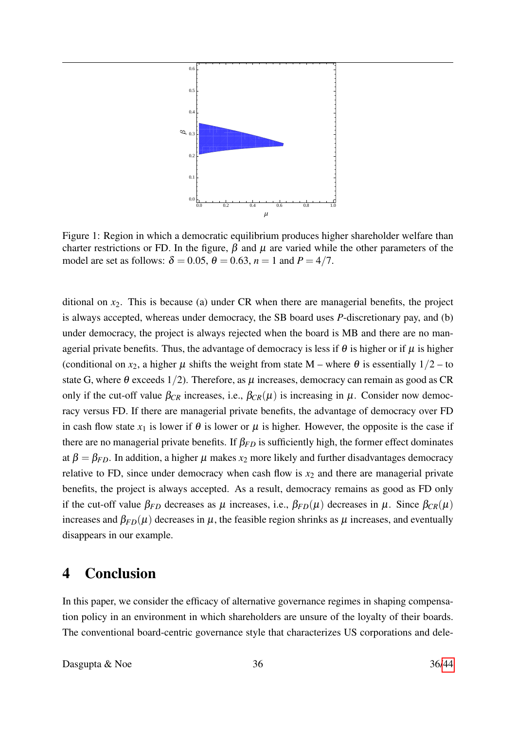

<span id="page-35-0"></span>Figure 1: Region in which a democratic equilibrium produces higher shareholder welfare than charter restrictions or FD. In the figure,  $\beta$  and  $\mu$  are varied while the other parameters of the model are set as follows:  $\delta = 0.05$ ,  $\theta = 0.63$ ,  $n = 1$  and  $P = 4/7$ .

ditional on  $x_2$ . This is because (a) under CR when there are managerial benefits, the project is always accepted, whereas under democracy, the SB board uses *P*-discretionary pay, and (b) under democracy, the project is always rejected when the board is MB and there are no managerial private benefits. Thus, the advantage of democracy is less if  $\theta$  is higher or if  $\mu$  is higher (conditional on  $x_2$ , a higher  $\mu$  shifts the weight from state M – where  $\theta$  is essentially  $1/2$  – to state G, where  $\theta$  exceeds 1/2). Therefore, as  $\mu$  increases, democracy can remain as good as CR only if the cut-off value  $\beta_{CR}$  increases, i.e.,  $\beta_{CR}(\mu)$  is increasing in  $\mu$ . Consider now democracy versus FD. If there are managerial private benefits, the advantage of democracy over FD in cash flow state  $x_1$  is lower if  $\theta$  is lower or  $\mu$  is higher. However, the opposite is the case if there are no managerial private benefits. If  $\beta_{FD}$  is sufficiently high, the former effect dominates at  $\beta = \beta_{FD}$ . In addition, a higher  $\mu$  makes  $x_2$  more likely and further disadvantages democracy relative to FD, since under democracy when cash flow is  $x_2$  and there are managerial private benefits, the project is always accepted. As a result, democracy remains as good as FD only if the cut-off value  $\beta_{FD}$  decreases as  $\mu$  increases, i.e.,  $\beta_{FD}(\mu)$  decreases in  $\mu$ . Since  $\beta_{CR}(\mu)$ increases and  $\beta_{FD}(\mu)$  decreases in  $\mu$ , the feasible region shrinks as  $\mu$  increases, and eventually disappears in our example.

## 4 Conclusion

In this paper, we consider the efficacy of alternative governance regimes in shaping compensation policy in an environment in which shareholders are unsure of the loyalty of their boards. The conventional board-centric governance style that characterizes US corporations and dele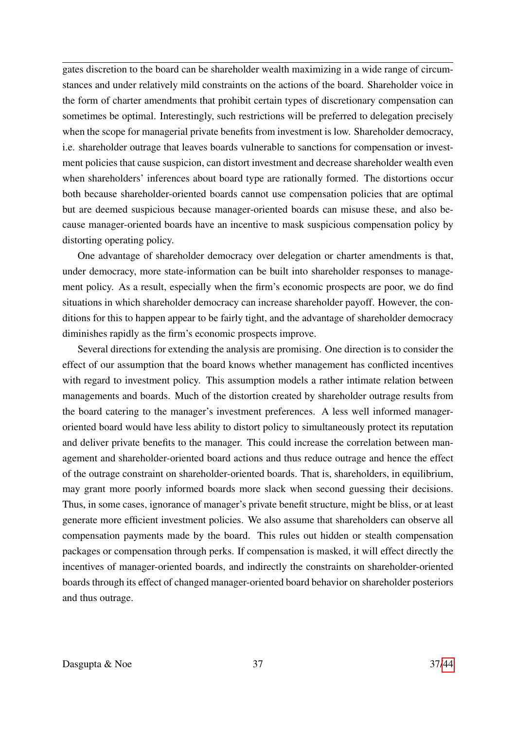gates discretion to the board can be shareholder wealth maximizing in a wide range of circumstances and under relatively mild constraints on the actions of the board. Shareholder voice in the form of charter amendments that prohibit certain types of discretionary compensation can sometimes be optimal. Interestingly, such restrictions will be preferred to delegation precisely when the scope for managerial private benefits from investment is low. Shareholder democracy, i.e. shareholder outrage that leaves boards vulnerable to sanctions for compensation or investment policies that cause suspicion, can distort investment and decrease shareholder wealth even when shareholders' inferences about board type are rationally formed. The distortions occur both because shareholder-oriented boards cannot use compensation policies that are optimal but are deemed suspicious because manager-oriented boards can misuse these, and also because manager-oriented boards have an incentive to mask suspicious compensation policy by distorting operating policy.

One advantage of shareholder democracy over delegation or charter amendments is that, under democracy, more state-information can be built into shareholder responses to management policy. As a result, especially when the firm's economic prospects are poor, we do find situations in which shareholder democracy can increase shareholder payoff. However, the conditions for this to happen appear to be fairly tight, and the advantage of shareholder democracy diminishes rapidly as the firm's economic prospects improve.

Several directions for extending the analysis are promising. One direction is to consider the effect of our assumption that the board knows whether management has conflicted incentives with regard to investment policy. This assumption models a rather intimate relation between managements and boards. Much of the distortion created by shareholder outrage results from the board catering to the manager's investment preferences. A less well informed manageroriented board would have less ability to distort policy to simultaneously protect its reputation and deliver private benefits to the manager. This could increase the correlation between management and shareholder-oriented board actions and thus reduce outrage and hence the effect of the outrage constraint on shareholder-oriented boards. That is, shareholders, in equilibrium, may grant more poorly informed boards more slack when second guessing their decisions. Thus, in some cases, ignorance of manager's private benefit structure, might be bliss, or at least generate more efficient investment policies. We also assume that shareholders can observe all compensation payments made by the board. This rules out hidden or stealth compensation packages or compensation through perks. If compensation is masked, it will effect directly the incentives of manager-oriented boards, and indirectly the constraints on shareholder-oriented boards through its effect of changed manager-oriented board behavior on shareholder posteriors and thus outrage.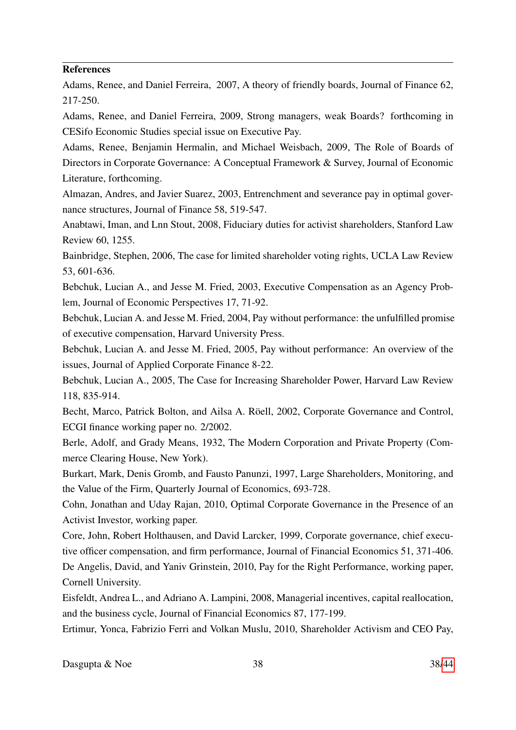### References

Adams, Renee, and Daniel Ferreira, 2007, A theory of friendly boards, Journal of Finance 62, 217-250.

Adams, Renee, and Daniel Ferreira, 2009, Strong managers, weak Boards? forthcoming in CESifo Economic Studies special issue on Executive Pay.

Adams, Renee, Benjamin Hermalin, and Michael Weisbach, 2009, The Role of Boards of Directors in Corporate Governance: A Conceptual Framework & Survey, Journal of Economic Literature, forthcoming.

Almazan, Andres, and Javier Suarez, 2003, Entrenchment and severance pay in optimal governance structures, Journal of Finance 58, 519-547.

Anabtawi, Iman, and Lnn Stout, 2008, Fiduciary duties for activist shareholders, Stanford Law Review 60, 1255.

Bainbridge, Stephen, 2006, The case for limited shareholder voting rights, UCLA Law Review 53, 601-636.

Bebchuk, Lucian A., and Jesse M. Fried, 2003, Executive Compensation as an Agency Problem, Journal of Economic Perspectives 17, 71-92.

Bebchuk, Lucian A. and Jesse M. Fried, 2004, Pay without performance: the unfulfilled promise of executive compensation, Harvard University Press.

Bebchuk, Lucian A. and Jesse M. Fried, 2005, Pay without performance: An overview of the issues, Journal of Applied Corporate Finance 8-22.

Bebchuk, Lucian A., 2005, The Case for Increasing Shareholder Power, Harvard Law Review 118, 835-914.

Becht, Marco, Patrick Bolton, and Ailsa A. Röell, 2002, Corporate Governance and Control, ECGI finance working paper no. 2/2002.

Berle, Adolf, and Grady Means, 1932, The Modern Corporation and Private Property (Commerce Clearing House, New York).

Burkart, Mark, Denis Gromb, and Fausto Panunzi, 1997, Large Shareholders, Monitoring, and the Value of the Firm, Quarterly Journal of Economics, 693-728.

Cohn, Jonathan and Uday Rajan, 2010, Optimal Corporate Governance in the Presence of an Activist Investor, working paper.

Core, John, Robert Holthausen, and David Larcker, 1999, Corporate governance, chief executive officer compensation, and firm performance, Journal of Financial Economics 51, 371-406.

De Angelis, David, and Yaniv Grinstein, 2010, Pay for the Right Performance, working paper, Cornell University.

Eisfeldt, Andrea L., and Adriano A. Lampini, 2008, Managerial incentives, capital reallocation, and the business cycle, Journal of Financial Economics 87, 177-199.

Ertimur, Yonca, Fabrizio Ferri and Volkan Muslu, 2010, Shareholder Activism and CEO Pay,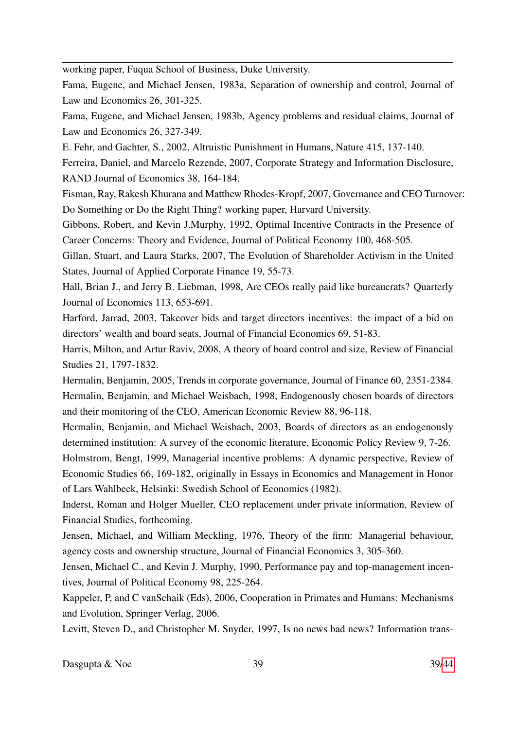working paper, Fuqua School of Business, Duke University.

Fama, Eugene, and Michael Jensen, 1983a, Separation of ownership and control, Journal of Law and Economics 26, 301-325.

Fama, Eugene, and Michael Jensen, 1983b, Agency problems and residual claims, Journal of Law and Economics 26, 327-349.

E. Fehr, and Gachter, S., 2002, Altruistic Punishment in Humans, Nature 415, 137-140.

Ferreira, Daniel, and Marcelo Rezende, 2007, Corporate Strategy and Information Disclosure, RAND Journal of Economics 38, 164-184.

Fisman, Ray, Rakesh Khurana and Matthew Rhodes-Kropf, 2007, Governance and CEO Turnover: Do Something or Do the Right Thing? working paper, Harvard University.

Gibbons, Robert, and Kevin J.Murphy, 1992, Optimal Incentive Contracts in the Presence of Career Concerns: Theory and Evidence, Journal of Political Economy 100, 468-505.

Gillan, Stuart, and Laura Starks, 2007, The Evolution of Shareholder Activism in the United States, Journal of Applied Corporate Finance 19, 55-73.

Hall, Brian J., and Jerry B. Liebman, 1998, Are CEOs really paid like bureaucrats? Quarterly Journal of Economics 113, 653-691.

Harford, Jarrad, 2003, Takeover bids and target directors incentives: the impact of a bid on directors' wealth and board seats, Journal of Financial Economics 69, 51-83.

Harris, Milton, and Artur Raviv, 2008, A theory of board control and size, Review of Financial Studies 21, 1797-1832.

Hermalin, Benjamin, 2005, Trends in corporate governance, Journal of Finance 60, 2351-2384. Hermalin, Benjamin, and Michael Weisbach, 1998, Endogenously chosen boards of directors and their monitoring of the CEO, American Economic Review 88, 96-118.

Hermalin, Benjamin, and Michael Weisbach, 2003, Boards of directors as an endogenously determined institution: A survey of the economic literature, Economic Policy Review 9, 7-26.

Holmstrom, Bengt, 1999, Managerial incentive problems: A dynamic perspective, Review of Economic Studies 66, 169-182, originally in Essays in Economics and Management in Honor of Lars Wahlbeck, Helsinki: Swedish School of Economics (1982).

Inderst, Roman and Holger Mueller, CEO replacement under private information, Review of Financial Studies, forthcoming.

Jensen, Michael, and William Meckling, 1976, Theory of the firm: Managerial behaviour, agency costs and ownership structure, Journal of Financial Economics 3, 305-360.

Jensen, Michael C., and Kevin J. Murphy, 1990, Performance pay and top-management incentives, Journal of Political Economy 98, 225-264.

Kappeler, P, and C vanSchaik (Eds), 2006, Cooperation in Primates and Humans: Mechanisms and Evolution, Springer Verlag, 2006.

Levitt, Steven D., and Christopher M. Snyder, 1997, Is no news bad news? Information trans-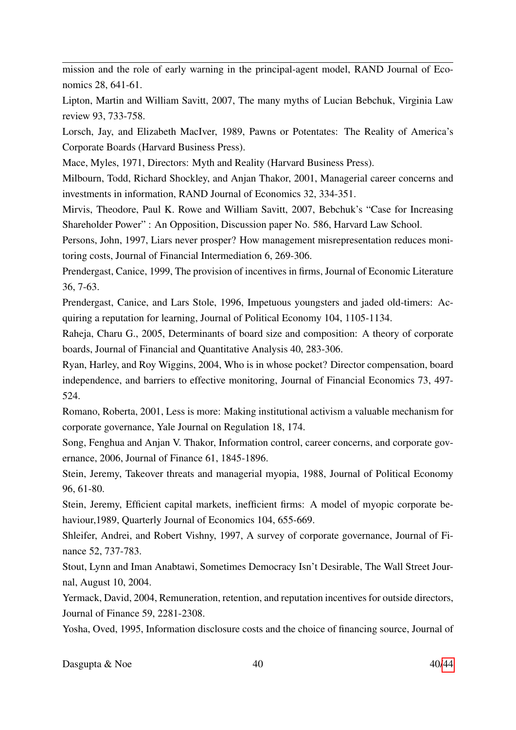mission and the role of early warning in the principal-agent model, RAND Journal of Economics 28, 641-61.

Lipton, Martin and William Savitt, 2007, The many myths of Lucian Bebchuk, Virginia Law review 93, 733-758.

Lorsch, Jay, and Elizabeth MacIver, 1989, Pawns or Potentates: The Reality of America's Corporate Boards (Harvard Business Press).

Mace, Myles, 1971, Directors: Myth and Reality (Harvard Business Press).

Milbourn, Todd, Richard Shockley, and Anjan Thakor, 2001, Managerial career concerns and investments in information, RAND Journal of Economics 32, 334-351.

Mirvis, Theodore, Paul K. Rowe and William Savitt, 2007, Bebchuk's "Case for Increasing Shareholder Power" : An Opposition, Discussion paper No. 586, Harvard Law School.

Persons, John, 1997, Liars never prosper? How management misrepresentation reduces monitoring costs, Journal of Financial Intermediation 6, 269-306.

Prendergast, Canice, 1999, The provision of incentives in firms, Journal of Economic Literature 36, 7-63.

Prendergast, Canice, and Lars Stole, 1996, Impetuous youngsters and jaded old-timers: Acquiring a reputation for learning, Journal of Political Economy 104, 1105-1134.

Raheja, Charu G., 2005, Determinants of board size and composition: A theory of corporate boards, Journal of Financial and Quantitative Analysis 40, 283-306.

Ryan, Harley, and Roy Wiggins, 2004, Who is in whose pocket? Director compensation, board independence, and barriers to effective monitoring, Journal of Financial Economics 73, 497- 524.

Romano, Roberta, 2001, Less is more: Making institutional activism a valuable mechanism for corporate governance, Yale Journal on Regulation 18, 174.

Song, Fenghua and Anjan V. Thakor, Information control, career concerns, and corporate governance, 2006, Journal of Finance 61, 1845-1896.

Stein, Jeremy, Takeover threats and managerial myopia, 1988, Journal of Political Economy 96, 61-80.

Stein, Jeremy, Efficient capital markets, inefficient firms: A model of myopic corporate behaviour,1989, Quarterly Journal of Economics 104, 655-669.

Shleifer, Andrei, and Robert Vishny, 1997, A survey of corporate governance, Journal of Finance 52, 737-783.

Stout, Lynn and Iman Anabtawi, Sometimes Democracy Isn't Desirable, The Wall Street Journal, August 10, 2004.

Yermack, David, 2004, Remuneration, retention, and reputation incentives for outside directors, Journal of Finance 59, 2281-2308.

Yosha, Oved, 1995, Information disclosure costs and the choice of financing source, Journal of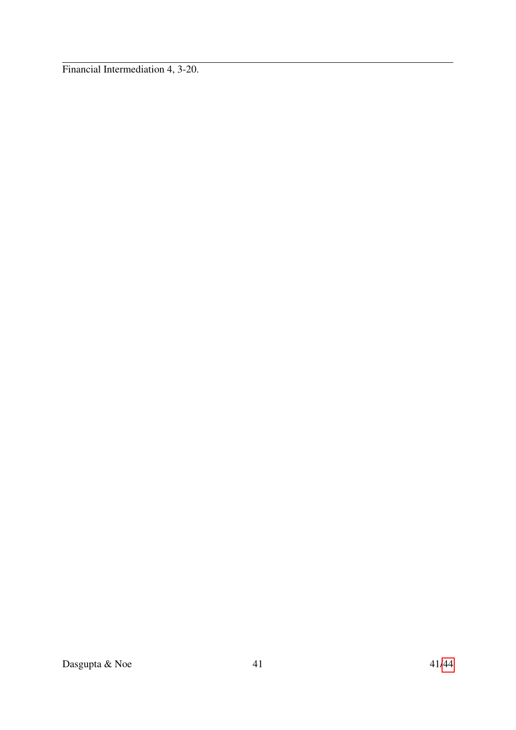Financial Intermediation 4, 3-20.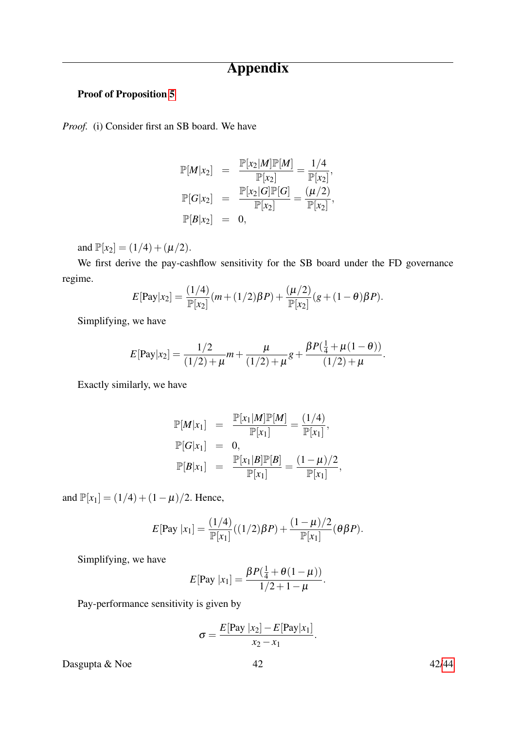# Appendix

## Proof of Proposition [5](#page-14-0)

*Proof.* (i) Consider first an SB board. We have

$$
\mathbb{P}[M|x_2] = \frac{\mathbb{P}[x_2|M]\mathbb{P}[M]}{\mathbb{P}[x_2]} = \frac{1/4}{\mathbb{P}[x_2]},
$$
  

$$
\mathbb{P}[G|x_2] = \frac{\mathbb{P}[x_2|G]\mathbb{P}[G]}{\mathbb{P}[x_2]} = \frac{(\mu/2)}{\mathbb{P}[x_2]},
$$
  

$$
\mathbb{P}[B|x_2] = 0,
$$

and  $\mathbb{P}[x_2] = (1/4) + (\mu/2)$ .

We first derive the pay-cashflow sensitivity for the SB board under the FD governance regime.

$$
E[Pay|x2] = \frac{(1/4)}{\mathbb{P}[x2]}(m + (1/2)\beta P) + \frac{(\mu/2)}{\mathbb{P}[x2]}(g + (1 - \theta)\beta P).
$$

Simplifying, we have

$$
E[\text{Pay}|x_2] = \frac{1/2}{(1/2) + \mu} m + \frac{\mu}{(1/2) + \mu} g + \frac{\beta P(\frac{1}{4} + \mu(1-\theta))}{(1/2) + \mu}.
$$

Exactly similarly, we have

$$
\mathbb{P}[M|x_1] = \frac{\mathbb{P}[x_1|M]\mathbb{P}[M]}{\mathbb{P}[x_1]} = \frac{(1/4)}{\mathbb{P}[x_1]},
$$
  
\n
$$
\mathbb{P}[G|x_1] = 0,
$$
  
\n
$$
\mathbb{P}[B|x_1] = \frac{\mathbb{P}[x_1|B]\mathbb{P}[B]}{\mathbb{P}[x_1]} = \frac{(1-\mu)/2}{\mathbb{P}[x_1]},
$$

and  $\mathbb{P}[x_1] = (1/4) + (1 - \mu)/2$ . Hence,

$$
E[{\rm Pay} \, |x_1] = \frac{(1/4)}{\mathbb{P}[x_1]}((1/2)\beta P) + \frac{(1-\mu)/2}{\mathbb{P}[x_1]}(\theta \beta P).
$$

Simplifying, we have

$$
E[Pay |x_1] = \frac{\beta P(\frac{1}{4} + \theta(1 - \mu))}{1/2 + 1 - \mu}.
$$

Pay-performance sensitivity is given by

$$
\sigma = \frac{E[\text{Pay }|x_2] - E[\text{Pay}|x_1]}{x_2 - x_1}.
$$

Dasgupta  $\&$  Noe  $42$  42[/44](#page-43-0)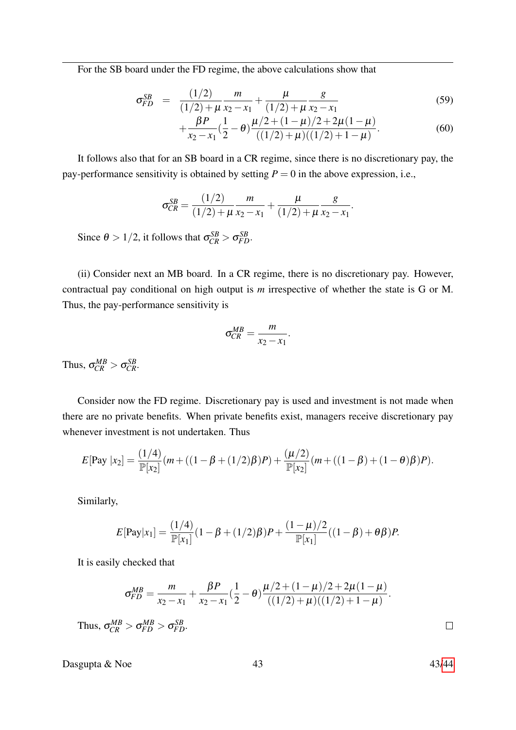For the SB board under the FD regime, the above calculations show that

$$
\sigma_{FD}^{SB} = \frac{(1/2)}{(1/2) + \mu} \frac{m}{x_2 - x_1} + \frac{\mu}{(1/2) + \mu} \frac{g}{x_2 - x_1}
$$
(59)

$$
+\frac{\beta P}{x_2-x_1}(\frac{1}{2}-\theta)\frac{\mu/2+(1-\mu)/2+2\mu(1-\mu)}{((1/2)+\mu)((1/2)+1-\mu)}.
$$
\n(60)

It follows also that for an SB board in a CR regime, since there is no discretionary pay, the pay-performance sensitivity is obtained by setting  $P = 0$  in the above expression, i.e.,

$$
\sigma_{CR}^{SB} = \frac{(1/2)}{(1/2) + \mu} \frac{m}{x_2 - x_1} + \frac{\mu}{(1/2) + \mu} \frac{g}{x_2 - x_1}.
$$

Since  $\theta > 1/2$ , it follows that  $\sigma_{CR}^{SB} > \sigma_{FD}^{SB}$ .

(ii) Consider next an MB board. In a CR regime, there is no discretionary pay. However, contractual pay conditional on high output is *m* irrespective of whether the state is G or M. Thus, the pay-performance sensitivity is

$$
\sigma_{CR}^{MB} = \frac{m}{x_2 - x_1}
$$

.

Thus,  $\sigma_{CR}^{MB} > \sigma_{CR}^{SB}$ .

Consider now the FD regime. Discretionary pay is used and investment is not made when there are no private benefits. When private benefits exist, managers receive discretionary pay whenever investment is not undertaken. Thus

$$
E[Pay | x2] = \frac{(1/4)}{\mathbb{P}[x2]}(m + ((1 - \beta + (1/2)\beta)P) + \frac{(\mu/2)}{\mathbb{P}[x2]}(m + ((1 - \beta) + (1 - \theta)\beta)P).
$$

Similarly,

$$
E[\text{Pay}|x_1] = \frac{(1/4)}{\mathbb{P}[x_1]}(1 - \beta + (1/2)\beta)P + \frac{(1 - \mu)/2}{\mathbb{P}[x_1]}((1 - \beta) + \theta\beta)P.
$$

It is easily checked that

$$
\sigma_{FD}^{MB} = \frac{m}{x_2 - x_1} + \frac{\beta P}{x_2 - x_1} (\frac{1}{2} - \theta) \frac{\mu/2 + (1 - \mu)/2 + 2\mu(1 - \mu)}{((1/2) + \mu)((1/2) + 1 - \mu)}.
$$
  

$$
\sigma_{CP}^{MB} > \sigma_{FD}^{MB} > \sigma_{FD}^{SB}.
$$

Thus,  $\sigma_{CR}^{MB} > \sigma_{FD}^{MB} > \sigma_{FD}^{SB}$ .

Dasgupta  $\&$  Noe 43 43[/44](#page-43-0)